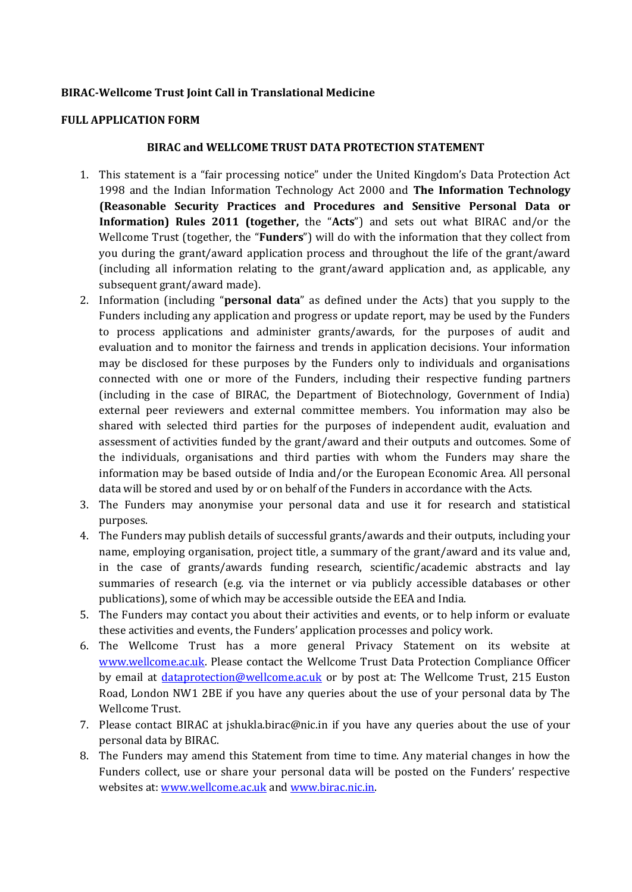## **BIRAC-Wellcome Trust Joint Call in Translational Medicine**

#### **FULL APPLICATION FORM**

#### **BIRAC and WELLCOME TRUST DATA PROTECTION STATEMENT**

- 1. This statement is a "fair processing notice" under the United Kingdom's Data Protection Act 1998 and the Indian Information Technology Act 2000 and **The Information Technology (Reasonable Security Practices and Procedures and Sensitive Personal Data or Information) Rules 2011 (together,** the "**Acts**") and sets out what BIRAC and/or the Wellcome Trust (together, the "**Funders**") will do with the information that they collect from you during the grant/award application process and throughout the life of the grant/award (including all information relating to the grant/award application and, as applicable, any subsequent grant/award made).
- 2. Information (including "**personal data**" as defined under the Acts) that you supply to the Funders including any application and progress or update report, may be used by the Funders to process applications and administer grants/awards, for the purposes of audit and evaluation and to monitor the fairness and trends in application decisions. Your information may be disclosed for these purposes by the Funders only to individuals and organisations connected with one or more of the Funders, including their respective funding partners (including in the case of BIRAC, the Department of Biotechnology, Government of India) external peer reviewers and external committee members. You information may also be shared with selected third parties for the purposes of independent audit, evaluation and assessment of activities funded by the grant/award and their outputs and outcomes. Some of the individuals, organisations and third parties with whom the Funders may share the information may be based outside of India and/or the European Economic Area. All personal data will be stored and used by or on behalf of the Funders in accordance with the Acts.
- 3. The Funders may anonymise your personal data and use it for research and statistical purposes.
- 4. The Funders may publish details of successful grants/awards and their outputs, including your name, employing organisation, project title, a summary of the grant/award and its value and, in the case of grants/awards funding research, scientific/academic abstracts and lay summaries of research (e.g. via the internet or via publicly accessible databases or other publications), some of which may be accessible outside the EEA and India.
- 5. The Funders may contact you about their activities and events, or to help inform or evaluate these activities and events, the Funders' application processes and policy work.
- 6. The Wellcome Trust has a more general Privacy Statement on its website at [www.wellcome.ac.uk.](http://www.wellcome.ac.uk/) Please contact the Wellcome Trust Data Protection Compliance Officer by email at *dataprotection@wellcome.ac.uk* or by post at: The Wellcome Trust, 215 Euston Road, London NW1 2BE if you have any queries about the use of your personal data by The Wellcome Trust.
- 7. Please contact BIRAC at jshukla.birac@nic.in if you have any queries about the use of your personal data by BIRAC.
- 8. The Funders may amend this Statement from time to time. Any material changes in how the Funders collect, use or share your personal data will be posted on the Funders' respective websites at: [www.wellcome.ac.uk](http://www.wellcome.ac.uk/) and [www.birac.nic.in.](http://www.birac.nic.in/)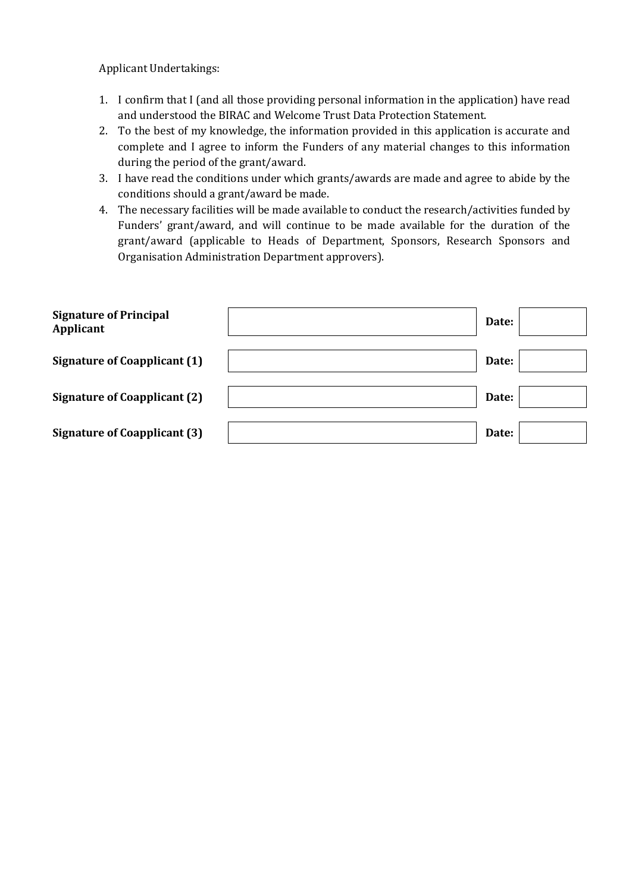Applicant Undertakings:

- 1. I confirm that I (and all those providing personal information in the application) have read and understood the BIRAC and Welcome Trust Data Protection Statement.
- 2. To the best of my knowledge, the information provided in this application is accurate and complete and I agree to inform the Funders of any material changes to this information during the period of the grant/award.
- 3. I have read the conditions under which grants/awards are made and agree to abide by the conditions should a grant/award be made.
- 4. The necessary facilities will be made available to conduct the research/activities funded by Funders' grant/award, and will continue to be made available for the duration of the grant/award (applicable to Heads of Department, Sponsors, Research Sponsors and Organisation Administration Department approvers).

| <b>Signature of Principal</b><br>Applicant | Date: |  |
|--------------------------------------------|-------|--|
| <b>Signature of Coapplicant (1)</b>        | Date: |  |
| <b>Signature of Coapplicant (2)</b>        | Date: |  |
| <b>Signature of Coapplicant (3)</b>        | Date: |  |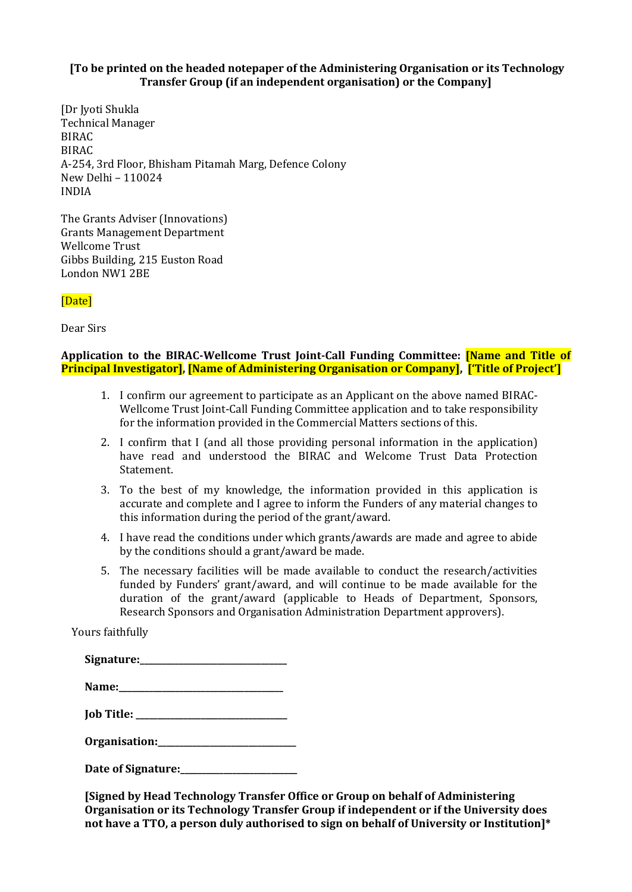## **[To be printed on the headed notepaper of the Administering Organisation or its Technology Transfer Group (if an independent organisation) or the Company]**

[Dr Jyoti Shukla Technical Manager BIRAC BIRAC A-254, 3rd Floor, Bhisham Pitamah Marg, Defence Colony New Delhi – 110024 INDIA

The Grants Adviser (Innovations) Grants Management Department Wellcome Trust Gibbs Building, 215 Euston Road London NW1 2BE

[Date]

Dear Sirs

## **Application to the BIRAC-Wellcome Trust Joint-Call Funding Committee: [Name and Title of Principal Investigator], [Name of Administering Organisation or Company], ['Title of Project']**

- 1. I confirm our agreement to participate as an Applicant on the above named BIRAC-Wellcome Trust Joint-Call Funding Committee application and to take responsibility for the information provided in the Commercial Matters sections of this.
- 2. I confirm that I (and all those providing personal information in the application) have read and understood the BIRAC and Welcome Trust Data Protection Statement.
- 3. To the best of my knowledge, the information provided in this application is accurate and complete and I agree to inform the Funders of any material changes to this information during the period of the grant/award.
- 4. I have read the conditions under which grants/awards are made and agree to abide by the conditions should a grant/award be made.
- 5. The necessary facilities will be made available to conduct the research/activities funded by Funders' grant/award, and will continue to be made available for the duration of the grant/award (applicable to Heads of Department, Sponsors, Research Sponsors and Organisation Administration Department approvers).

Yours faithfully

| Signature: |
|------------|
|------------|

**Organisation:\_\_\_\_\_\_\_\_\_\_\_\_\_\_\_\_\_\_\_\_\_\_\_\_\_\_\_\_\_\_\_\_**

**Date of Signature:\_\_\_\_\_\_\_\_\_\_\_\_\_\_\_\_\_\_\_\_\_\_\_\_\_\_\_**

**[Signed by Head Technology Transfer Office or Group on behalf of Administering Organisation or its Technology Transfer Group if independent or if the University does not have a TTO, a person duly authorised to sign on behalf of University or Institution]\***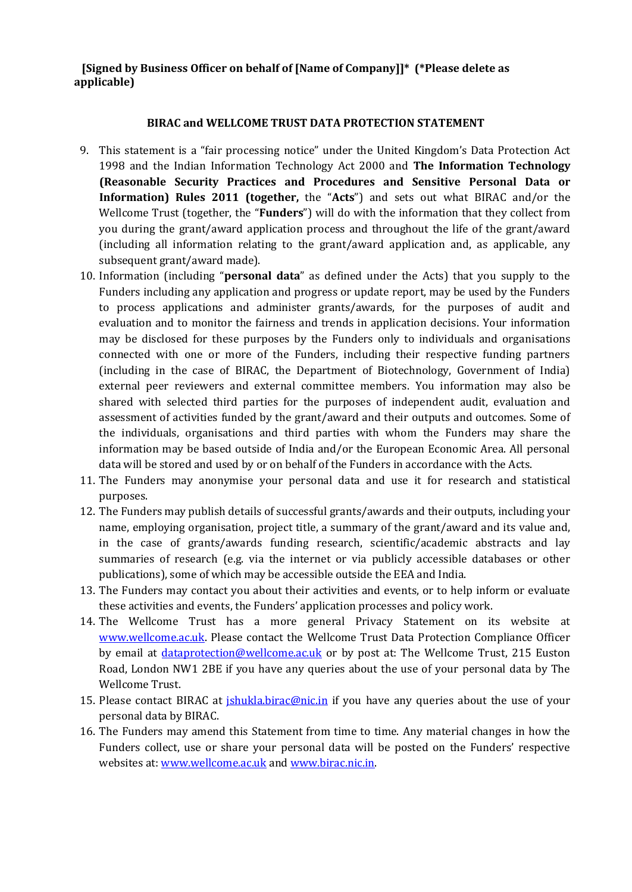## **[Signed by Business Officer on behalf of [Name of Company]]\* (\*Please delete as applicable)**

#### **BIRAC and WELLCOME TRUST DATA PROTECTION STATEMENT**

- 9. This statement is a "fair processing notice" under the United Kingdom's Data Protection Act 1998 and the Indian Information Technology Act 2000 and **The Information Technology (Reasonable Security Practices and Procedures and Sensitive Personal Data or Information) Rules 2011 (together,** the "**Acts**") and sets out what BIRAC and/or the Wellcome Trust (together, the "**Funders**") will do with the information that they collect from you during the grant/award application process and throughout the life of the grant/award (including all information relating to the grant/award application and, as applicable, any subsequent grant/award made).
- 10. Information (including "**personal data**" as defined under the Acts) that you supply to the Funders including any application and progress or update report, may be used by the Funders to process applications and administer grants/awards, for the purposes of audit and evaluation and to monitor the fairness and trends in application decisions. Your information may be disclosed for these purposes by the Funders only to individuals and organisations connected with one or more of the Funders, including their respective funding partners (including in the case of BIRAC, the Department of Biotechnology, Government of India) external peer reviewers and external committee members. You information may also be shared with selected third parties for the purposes of independent audit, evaluation and assessment of activities funded by the grant/award and their outputs and outcomes. Some of the individuals, organisations and third parties with whom the Funders may share the information may be based outside of India and/or the European Economic Area. All personal data will be stored and used by or on behalf of the Funders in accordance with the Acts.
- 11. The Funders may anonymise your personal data and use it for research and statistical purposes.
- 12. The Funders may publish details of successful grants/awards and their outputs, including your name, employing organisation, project title, a summary of the grant/award and its value and, in the case of grants/awards funding research, scientific/academic abstracts and lay summaries of research (e.g. via the internet or via publicly accessible databases or other publications), some of which may be accessible outside the EEA and India.
- 13. The Funders may contact you about their activities and events, or to help inform or evaluate these activities and events, the Funders' application processes and policy work.
- 14. The Wellcome Trust has a more general Privacy Statement on its website at [www.wellcome.ac.uk.](http://www.wellcome.ac.uk/) Please contact the Wellcome Trust Data Protection Compliance Officer by email at *dataprotection@wellcome.ac.uk* or by post at: The Wellcome Trust, 215 Euston Road, London NW1 2BE if you have any queries about the use of your personal data by The Wellcome Trust.
- 15. Please contact BIRAC at *ishukla.birac@nic.in* if you have any queries about the use of your personal data by BIRAC.
- 16. The Funders may amend this Statement from time to time. Any material changes in how the Funders collect, use or share your personal data will be posted on the Funders' respective websites at: [www.wellcome.ac.uk](http://www.wellcome.ac.uk/) and [www.birac.nic.in.](http://www.birac.nic.in/)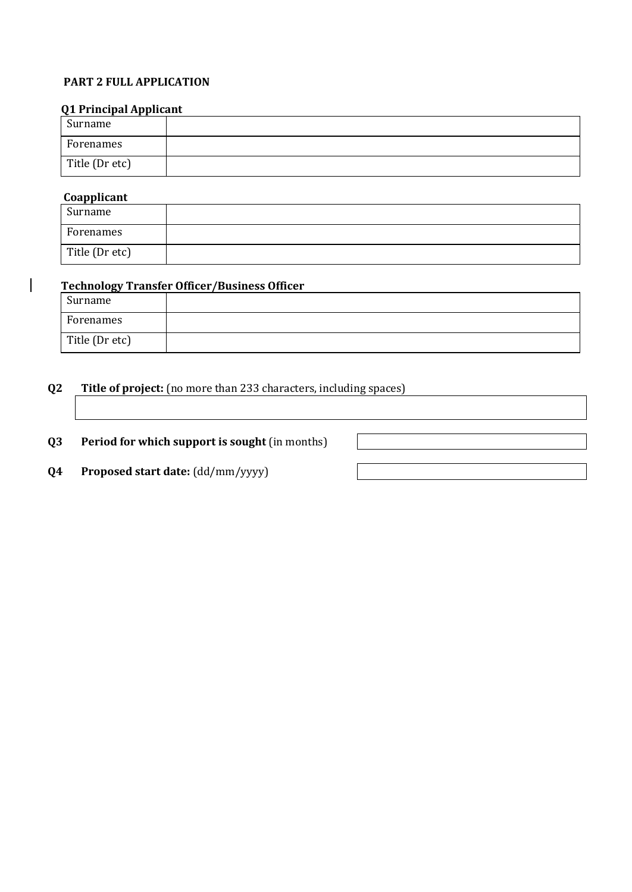## **PART 2 FULL APPLICATION**

## **Q1 Principal Applicant**

| Surname        |  |
|----------------|--|
| Forenames      |  |
| Title (Dr etc) |  |

## **Coapplicant**

 $\overline{\phantom{a}}$ 

| Surname        |  |
|----------------|--|
| Forenames      |  |
| Title (Dr etc) |  |

## **Technology Transfer Officer/Business Officer**

| Surname        |  |
|----------------|--|
| Forenames      |  |
| Title (Dr etc) |  |

## **Q2 Title of project:** (no more than 233 characters, including spaces)

**Q3 Period for which support is sought** (in months)

**Q4 Proposed start date:** (dd/mm/yyyy)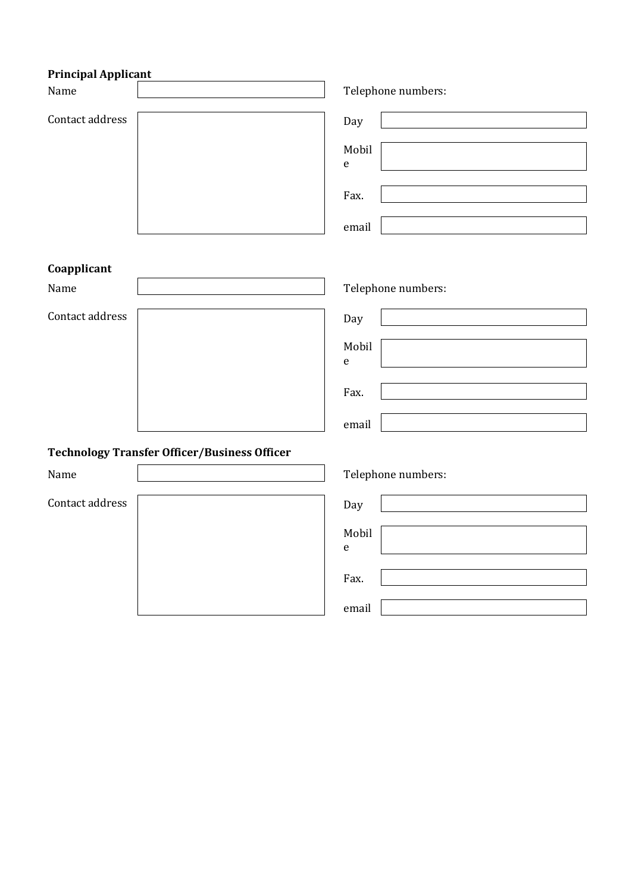## **Principal Applicant**

| Name                                                | Telephone numbers:                                |
|-----------------------------------------------------|---------------------------------------------------|
| Contact address                                     | Day<br>Mobil<br>$\mathbf{e}% _{t}\left( t\right)$ |
|                                                     | Fax.<br>email                                     |
| Coapplicant                                         |                                                   |
| Name                                                | Telephone numbers:                                |
| Contact address                                     | Day                                               |
|                                                     | Mobil<br>$\mathsf{e}% _{t}\left( t\right)$        |
|                                                     | Fax.                                              |
|                                                     | email                                             |
| <b>Technology Transfer Officer/Business Officer</b> |                                                   |
| Name                                                | Telephone numbers:                                |
| Contact address                                     | Day                                               |
|                                                     | Mobil<br>${\bf e}$                                |
|                                                     | Fax.                                              |
|                                                     | email                                             |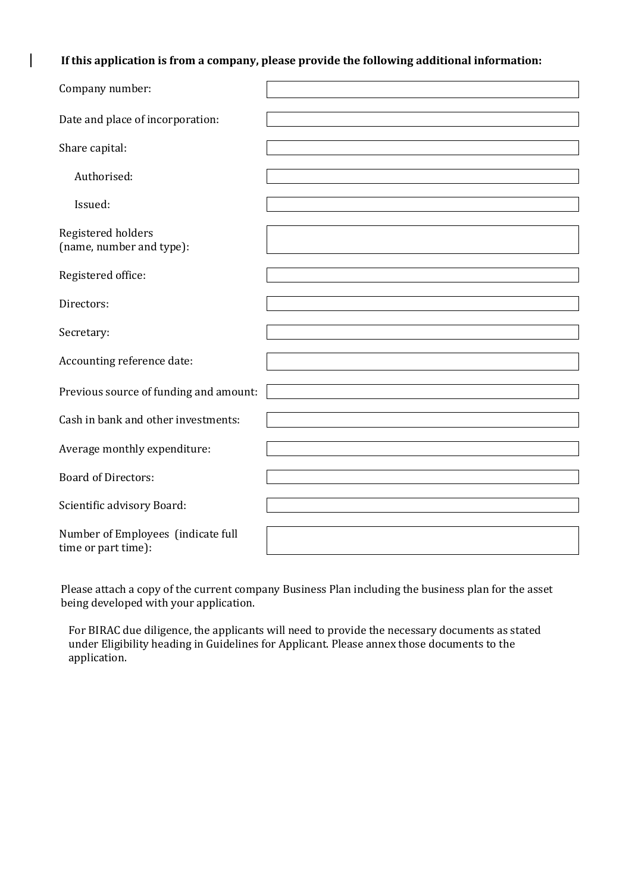**If this application is from a company, please provide the following additional information:**

 $\overline{\phantom{a}}$ 

| Company number:                                           |  |
|-----------------------------------------------------------|--|
| Date and place of incorporation:                          |  |
| Share capital:                                            |  |
| Authorised:                                               |  |
| Issued:                                                   |  |
| Registered holders<br>(name, number and type):            |  |
| Registered office:                                        |  |
| Directors:                                                |  |
| Secretary:                                                |  |
| Accounting reference date:                                |  |
| Previous source of funding and amount:                    |  |
| Cash in bank and other investments:                       |  |
| Average monthly expenditure:                              |  |
| <b>Board of Directors:</b>                                |  |
| Scientific advisory Board:                                |  |
| Number of Employees (indicate full<br>time or part time): |  |

Please attach a copy of the current company Business Plan including the business plan for the asset being developed with your application.

For BIRAC due diligence, the applicants will need to provide the necessary documents as stated under Eligibility heading in Guidelines for Applicant. Please annex those documents to the application.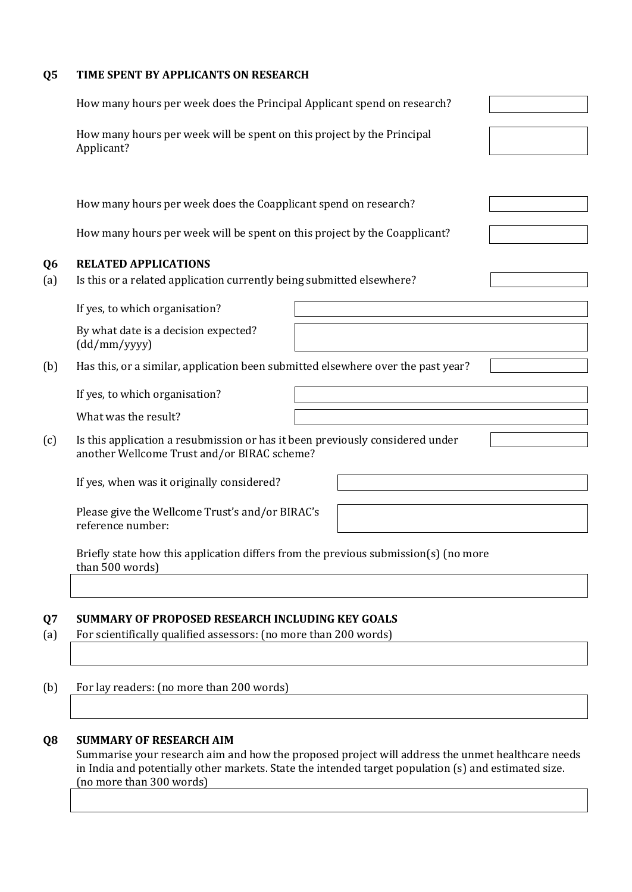## **Q5 TIME SPENT BY APPLICANTS ON RESEARCH**

|                       | How many hours per week does the Principal Applicant spend on research?                                                      |  |
|-----------------------|------------------------------------------------------------------------------------------------------------------------------|--|
|                       | How many hours per week will be spent on this project by the Principal<br>Applicant?                                         |  |
|                       |                                                                                                                              |  |
|                       | How many hours per week does the Coapplicant spend on research?                                                              |  |
|                       | How many hours per week will be spent on this project by the Coapplicant?                                                    |  |
| Q <sub>6</sub><br>(a) | <b>RELATED APPLICATIONS</b><br>Is this or a related application currently being submitted elsewhere?                         |  |
|                       | If yes, to which organisation?                                                                                               |  |
|                       | By what date is a decision expected?<br>(dd/mm/yyyy)                                                                         |  |
| (b)                   | Has this, or a similar, application been submitted elsewhere over the past year?                                             |  |
|                       | If yes, to which organisation?                                                                                               |  |
|                       | What was the result?                                                                                                         |  |
| (c)                   | Is this application a resubmission or has it been previously considered under<br>another Wellcome Trust and/or BIRAC scheme? |  |
|                       | If yes, when was it originally considered?                                                                                   |  |
|                       | Please give the Wellcome Trust's and/or BIRAC's<br>reference number:                                                         |  |
|                       | Briefly state how this application differs from the previous submission(s) (no more<br>than 500 words)                       |  |
|                       |                                                                                                                              |  |
| Q7                    | SUMMARY OF PROPOSED RESEARCH INCLUDING KEY GOALS                                                                             |  |
| (a)                   | For scientifically qualified assessors: (no more than 200 words)                                                             |  |
|                       |                                                                                                                              |  |
| (b)                   | For lay readers: (no more than 200 words)                                                                                    |  |

## **Q8 SUMMARY OF RESEARCH AIM**

Summarise your research aim and how the proposed project will address the unmet healthcare needs in India and potentially other markets. State the intended target population (s) and estimated size. (no more than 300 words)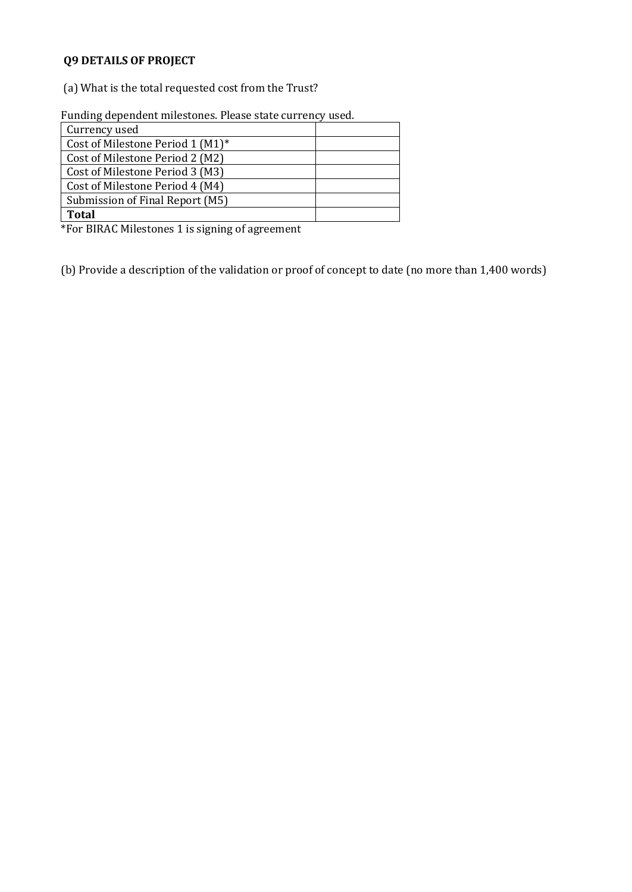# **Q9 DETAILS OF PROJECT**

(a) What is the total requested cost from the Trust?

Funding dependent milestones. Please state currency used.

| Currency used                    |  |
|----------------------------------|--|
| Cost of Milestone Period 1 (M1)* |  |
| Cost of Milestone Period 2 (M2)  |  |
| Cost of Milestone Period 3 (M3)  |  |
| Cost of Milestone Period 4 (M4)  |  |
| Submission of Final Report (M5)  |  |
| Total                            |  |

\*For BIRAC Milestones 1 is signing of agreement

(b) Provide a description of the validation or proof of concept to date (no more than 1,400 words)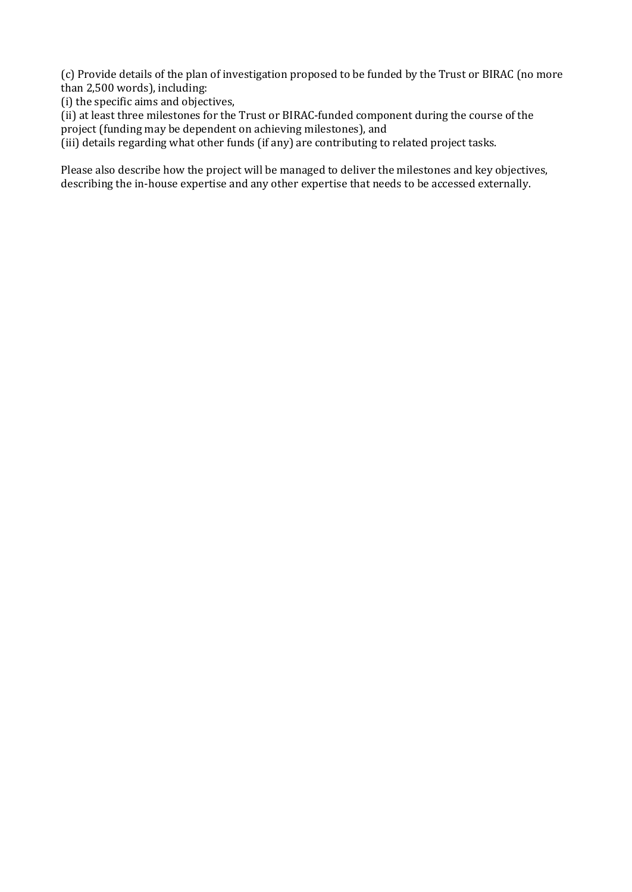(c) Provide details of the plan of investigation proposed to be funded by the Trust or BIRAC (no more than 2,500 words), including:

(i) the specific aims and objectives,

(ii) at least three milestones for the Trust or BIRAC-funded component during the course of the project (funding may be dependent on achieving milestones), and

(iii) details regarding what other funds (if any) are contributing to related project tasks.

Please also describe how the project will be managed to deliver the milestones and key objectives, describing the in-house expertise and any other expertise that needs to be accessed externally.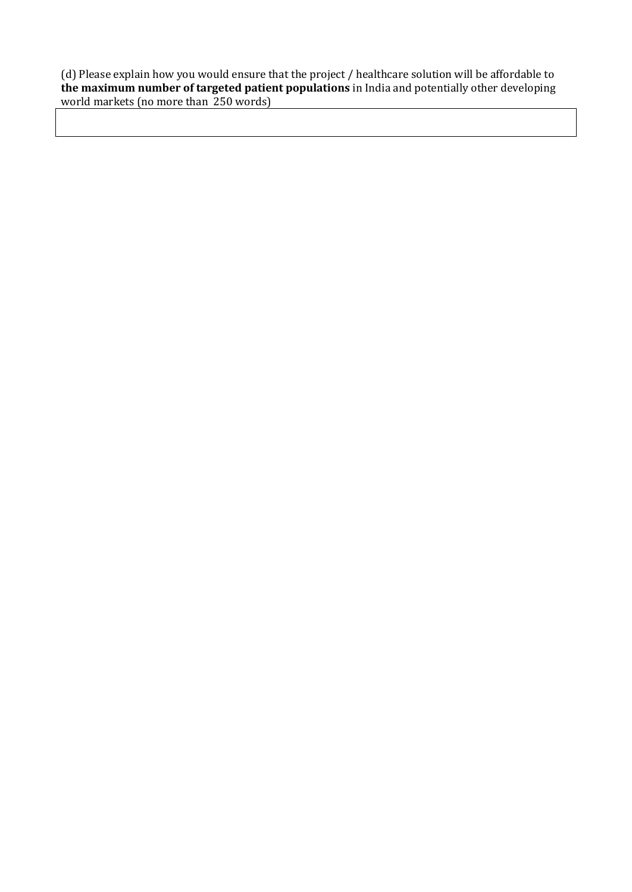(d) Please explain how you would ensure that the project / healthcare solution will be affordable to **the maximum number of targeted patient populations** in India and potentially other developing world markets (no more than 250 words)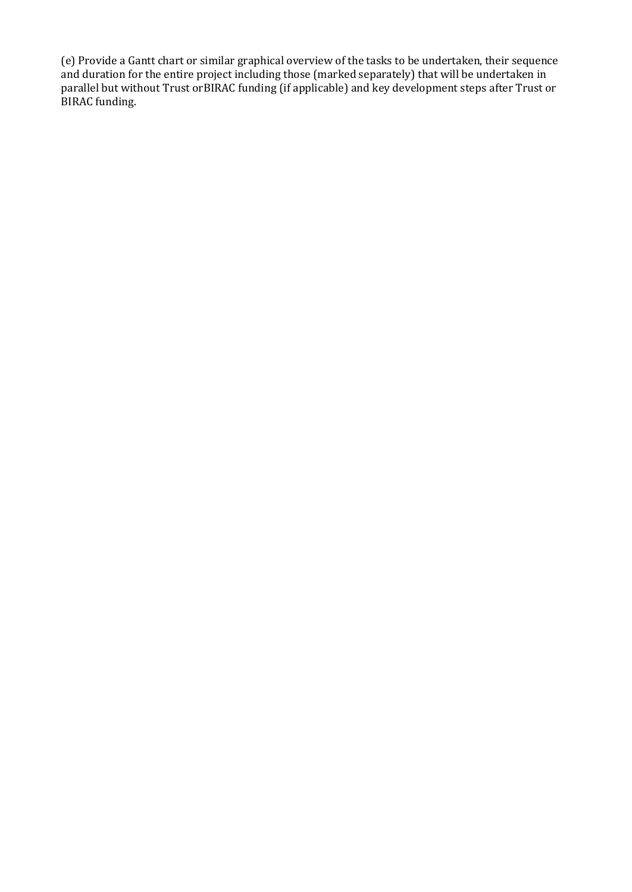(e) Provide a Gantt chart or similar graphical overview of the tasks to be undertaken, their sequence and duration for the entire project including those (marked separately) that will be undertaken in parallel but without Trust orBIRAC funding (if applicable) and key development steps after Trust or BIRAC funding.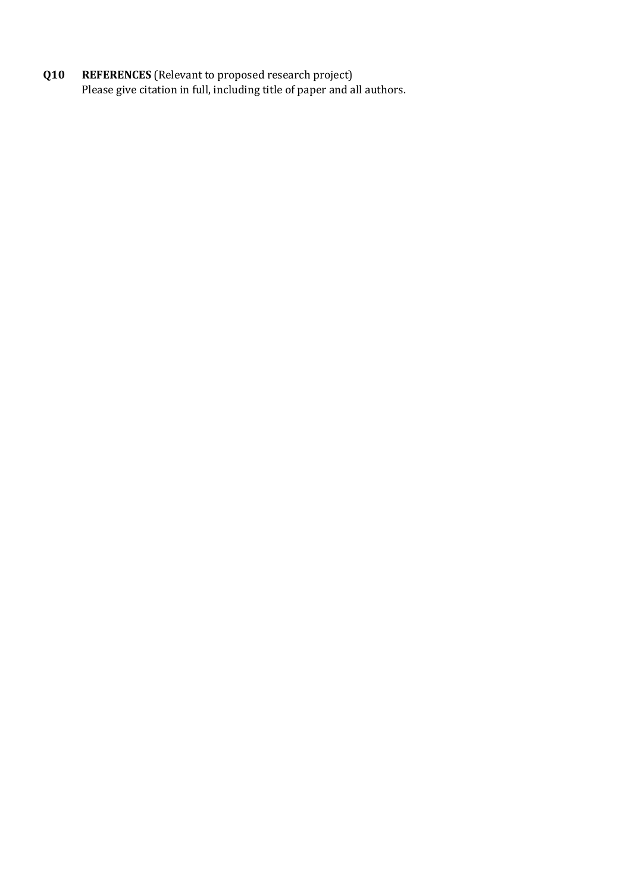**Q10 REFERENCES** (Relevant to proposed research project) Please give citation in full, including title of paper and all authors.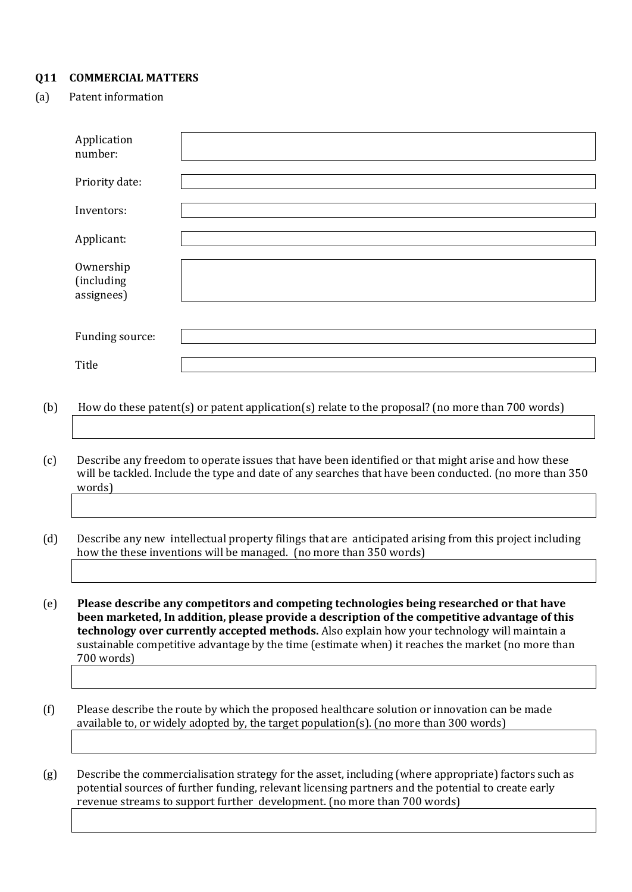## **Q11 COMMERCIAL MATTERS**

## (a) Patent information

| Application<br>number:                |  |
|---------------------------------------|--|
| Priority date:                        |  |
| Inventors:                            |  |
| Applicant:                            |  |
| Ownership<br>(including<br>assignees) |  |
| Funding source:                       |  |
| Title                                 |  |

- (b) How do these patent(s) or patent application(s) relate to the proposal? (no more than 700 words)
- (c) Describe any freedom to operate issues that have been identified or that might arise and how these will be tackled. Include the type and date of any searches that have been conducted. (no more than 350 words)
- (d) Describe any new intellectual property filings that are anticipated arising from this project including how the these inventions will be managed. (no more than 350 words)

(e) **Please describe any competitors and competing technologies being researched or that have been marketed, In addition, please provide a description of the competitive advantage of this technology over currently accepted methods.** Also explain how your technology will maintain a sustainable competitive advantage by the time (estimate when) it reaches the market (no more than 700 words)

(f) Please describe the route by which the proposed healthcare solution or innovation can be made available to, or widely adopted by, the target population(s). (no more than 300 words)

(g) Describe the commercialisation strategy for the asset, including (where appropriate) factors such as potential sources of further funding, relevant licensing partners and the potential to create early revenue streams to support further development. (no more than 700 words)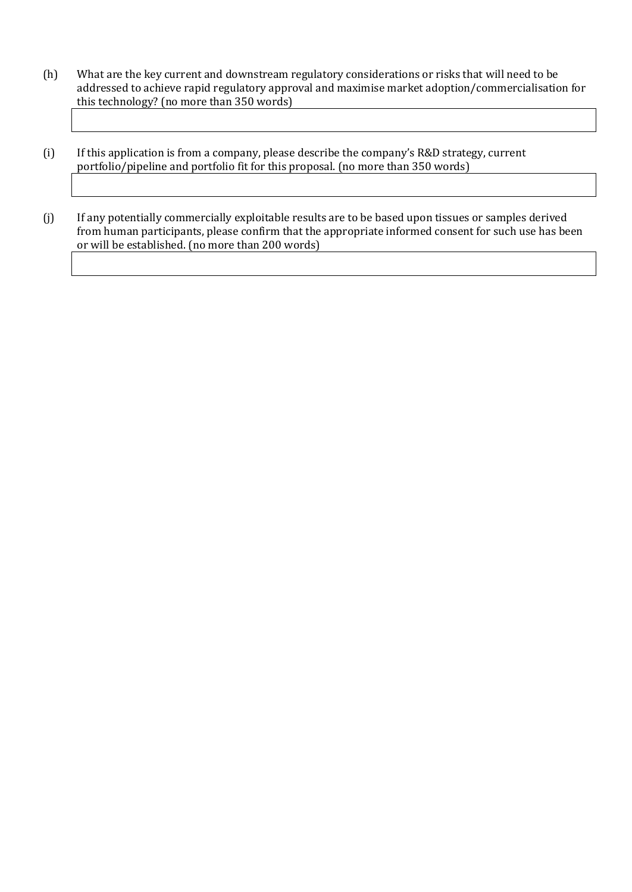- (h) What are the key current and downstream regulatory considerations or risks that will need to be addressed to achieve rapid regulatory approval and maximise market adoption/commercialisation for this technology? (no more than 350 words)
- (i) If this application is from a company, please describe the company's R&D strategy, current portfolio/pipeline and portfolio fit for this proposal. (no more than 350 words)

(j) If any potentially commercially exploitable results are to be based upon tissues or samples derived from human participants, please confirm that the appropriate informed consent for such use has been or will be established. (no more than 200 words)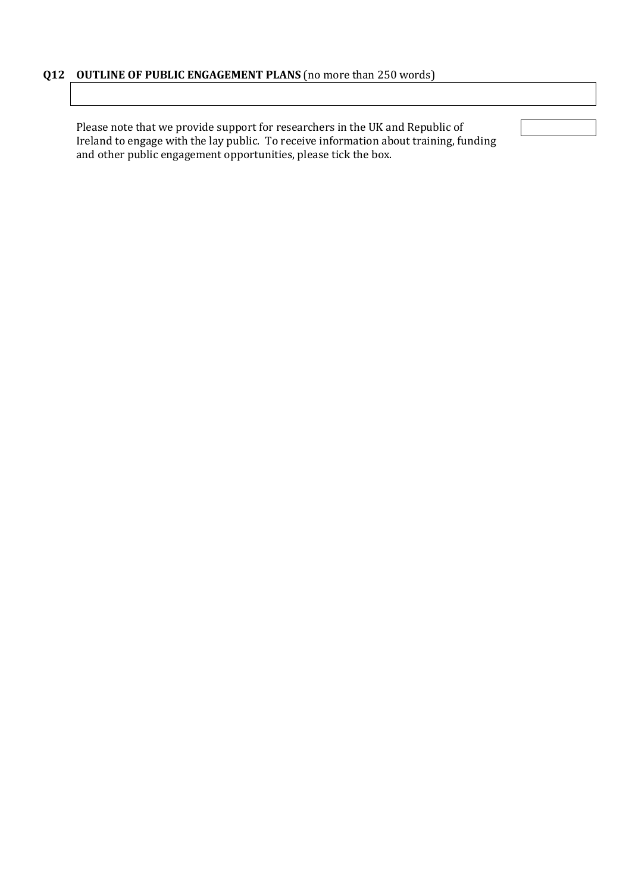Please note that we provide support for researchers in the UK and Republic of Ireland to engage with the lay public. To receive information about training, funding and other public engagement opportunities, please tick the box.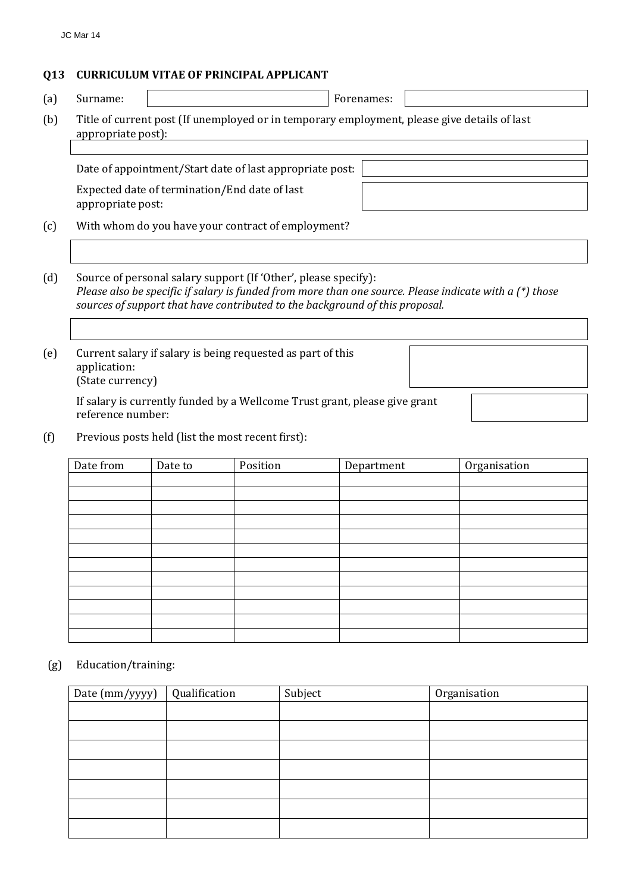## **Q13 CURRICULUM VITAE OF PRINCIPAL APPLICANT**

(a) Surname: Forenames:

(b) Title of current post (If unemployed or in temporary employment, please give details of last appropriate post):

Date of appointment/Start date of last appropriate post:

Expected date of termination/End date of last appropriate post:

(c) With whom do you have your contract of employment?

(d) Source of personal salary support (If 'Other', please specify): *Please also be specific if salary is funded from more than one source. Please indicate with a (\*) those sources of support that have contributed to the background of this proposal.*

(e) Current salary if salary is being requested as part of this application: (State currency)

> If salary is currently funded by a Wellcome Trust grant, please give grant reference number:

(f) Previous posts held (list the most recent first):

| Date from | Date to | Position | Department | Organisation |
|-----------|---------|----------|------------|--------------|
|           |         |          |            |              |
|           |         |          |            |              |
|           |         |          |            |              |
|           |         |          |            |              |
|           |         |          |            |              |
|           |         |          |            |              |
|           |         |          |            |              |
|           |         |          |            |              |
|           |         |          |            |              |
|           |         |          |            |              |
|           |         |          |            |              |
|           |         |          |            |              |

#### (g) Education/training:

| Date (mm/yyyy) | Qualification | Subject | Organisation |
|----------------|---------------|---------|--------------|
|                |               |         |              |
|                |               |         |              |
|                |               |         |              |
|                |               |         |              |
|                |               |         |              |
|                |               |         |              |
|                |               |         |              |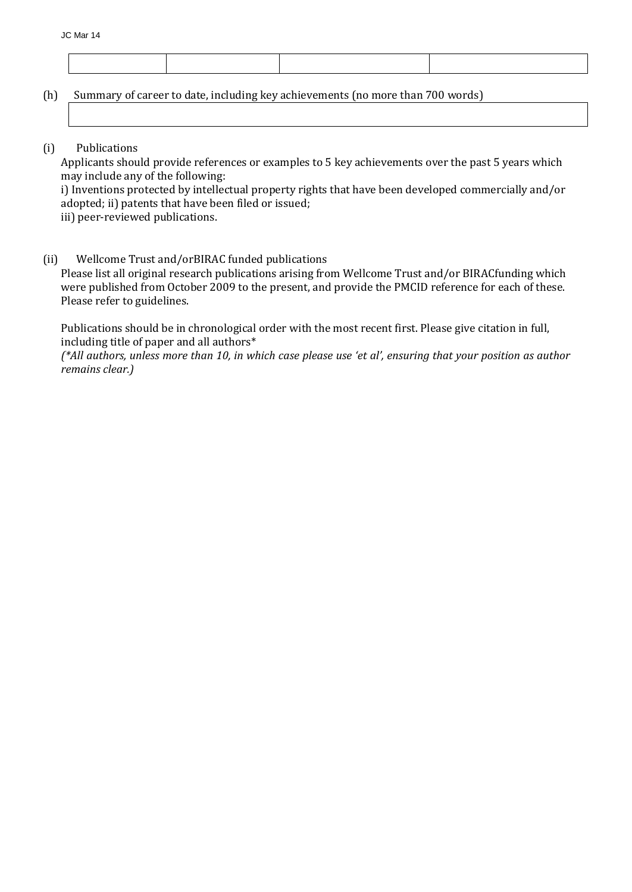(h) Summary of career to date, including key achievements (no more than 700 words)

(i) Publications

Applicants should provide references or examples to 5 key achievements over the past 5 years which may include any of the following:

i) Inventions protected by intellectual property rights that have been developed commercially and/or adopted; ii) patents that have been filed or issued;

iii) peer-reviewed publications.

(ii) Wellcome Trust and/orBIRAC funded publications

Please list all original research publications arising from Wellcome Trust and/or BIRACfunding which were published from October 2009 to the present, and provide the PMCID reference for each of these. Please refer to guidelines.

Publications should be in chronological order with the most recent first. Please give citation in full, including title of paper and all authors\*

*(\*All authors, unless more than 10, in which case please use 'et al', ensuring that your position as author remains clear.)*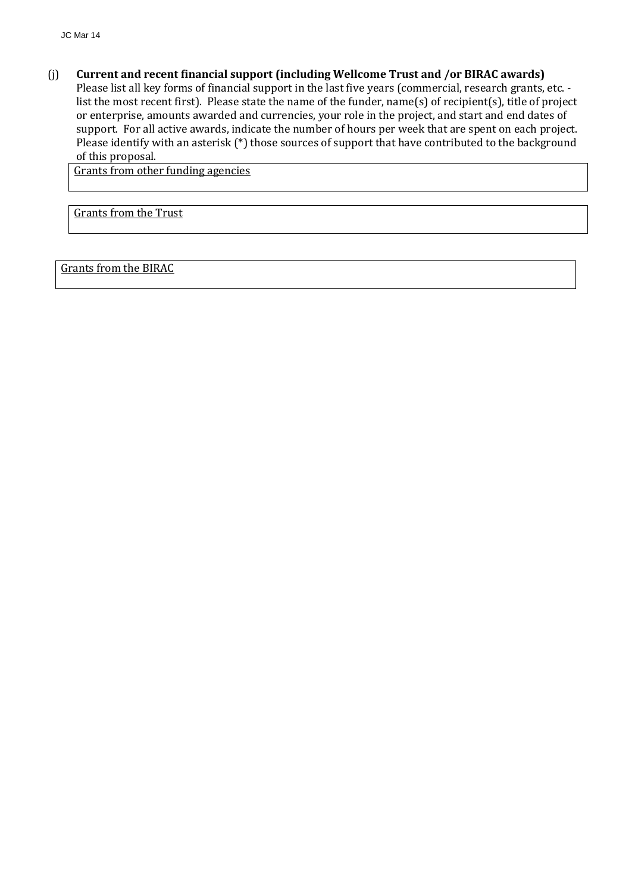(j) **Current and recent financial support (including Wellcome Trust and /or BIRAC awards)** 

Please list all key forms of financial support in the last five years (commercial, research grants, etc. list the most recent first). Please state the name of the funder, name(s) of recipient(s), title of project or enterprise, amounts awarded and currencies, your role in the project, and start and end dates of support. For all active awards, indicate the number of hours per week that are spent on each project. Please identify with an asterisk (\*) those sources of support that have contributed to the background of this proposal.

Grants from other funding agencies

Grants from the Trust

Grants from the BIRAC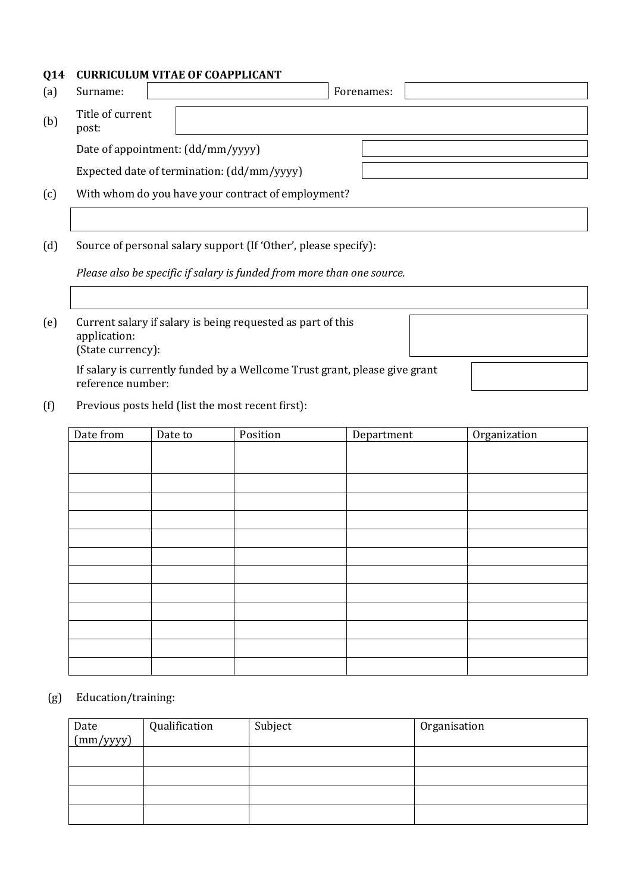## **Q14 CURRICULUM VITAE OF COAPPLICANT**

| (a) | Surname:                  |                                                    | Forenames: |  |
|-----|---------------------------|----------------------------------------------------|------------|--|
| (b) | Title of current<br>post: |                                                    |            |  |
|     |                           | Date of appointment: (dd/mm/yyyy)                  |            |  |
|     |                           | Expected date of termination: (dd/mm/yyyy)         |            |  |
| (c) |                           | With whom do you have your contract of employment? |            |  |

(d) Source of personal salary support (If 'Other', please specify):

*Please also be specific if salary is funded from more than one source.*

| (e) | Current salary if salary is being requested as part of this<br>application:<br>(State currency): |  |
|-----|--------------------------------------------------------------------------------------------------|--|
|     | If salary is currently funded by a Wellcome Trust grant, please give grant<br>reference number:  |  |

(f) Previous posts held (list the most recent first):

| Date from | Date to | Position | Department | Organization |
|-----------|---------|----------|------------|--------------|
|           |         |          |            |              |
|           |         |          |            |              |
|           |         |          |            |              |
|           |         |          |            |              |
|           |         |          |            |              |
|           |         |          |            |              |
|           |         |          |            |              |
|           |         |          |            |              |
|           |         |          |            |              |
|           |         |          |            |              |
|           |         |          |            |              |
|           |         |          |            |              |
|           |         |          |            |              |

## (g) Education/training:

| Date<br>(mm/yyyy) | Qualification | Subject | Organisation |
|-------------------|---------------|---------|--------------|
|                   |               |         |              |
|                   |               |         |              |
|                   |               |         |              |
|                   |               |         |              |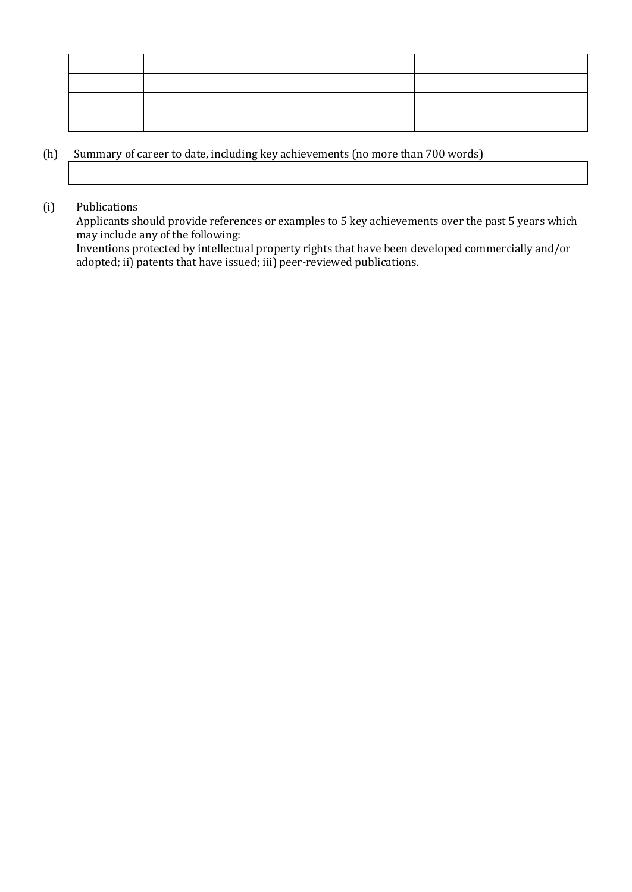## (h) Summary of career to date, including key achievements (no more than 700 words)

## (i) Publications

Applicants should provide references or examples to 5 key achievements over the past 5 years which may include any of the following:

Inventions protected by intellectual property rights that have been developed commercially and/or adopted; ii) patents that have issued; iii) peer-reviewed publications.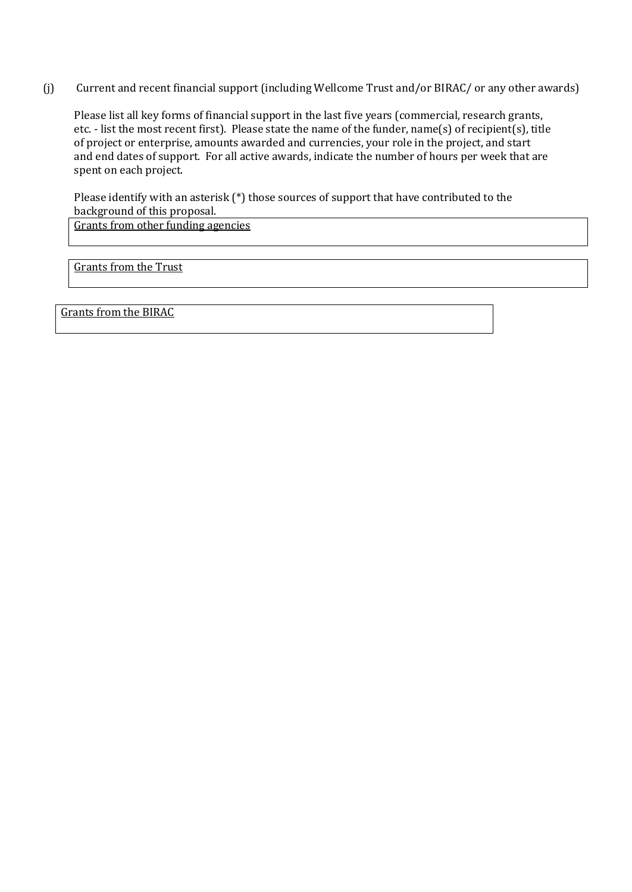(j) Current and recent financial support (including Wellcome Trust and/or BIRAC/ or any other awards)

Please list all key forms of financial support in the last five years (commercial, research grants, etc. - list the most recent first). Please state the name of the funder, name(s) of recipient(s), title of project or enterprise, amounts awarded and currencies, your role in the project, and start and end dates of support. For all active awards, indicate the number of hours per week that are spent on each project.

Please identify with an asterisk (\*) those sources of support that have contributed to the background of this proposal.

Grants from other funding agencies

Grants from the Trust

Grants from the BIRAC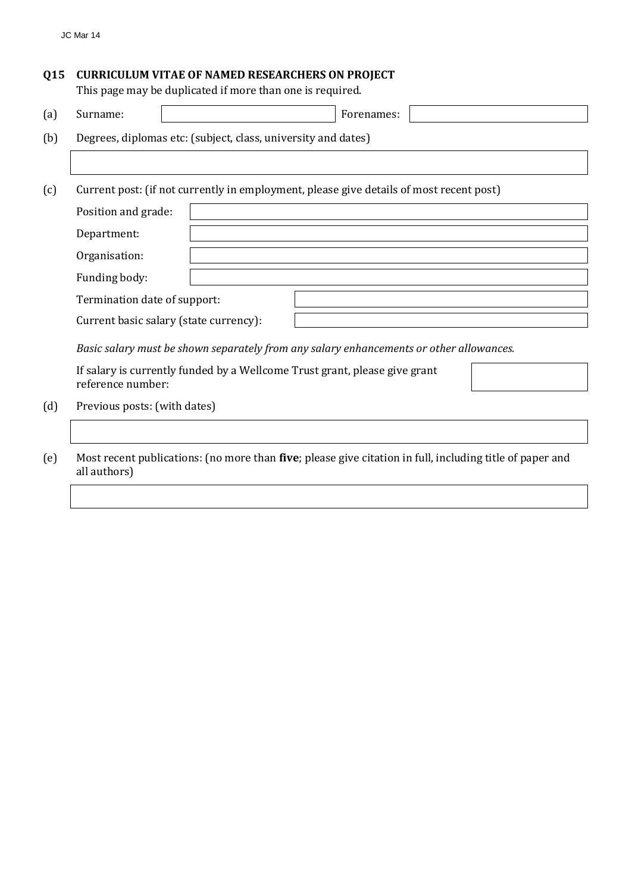## **Q15 CURRICULUM VITAE OF NAMED RESEARCHERS ON PROJECT**

This page may be duplicated if more than one is required.

| (a)    | Surname:                     | Forenames:                                                                                               |
|--------|------------------------------|----------------------------------------------------------------------------------------------------------|
| (b)    |                              | Degrees, diplomas etc: (subject, class, university and dates)                                            |
|        |                              |                                                                                                          |
| (c)    |                              | Current post: (if not currently in employment, please give details of most recent post)                  |
|        | Position and grade:          |                                                                                                          |
|        | Department:                  |                                                                                                          |
|        | Organisation:                |                                                                                                          |
|        | Funding body:                |                                                                                                          |
|        | Termination date of support: |                                                                                                          |
|        |                              | Current basic salary (state currency):                                                                   |
|        |                              | Basic salary must be shown separately from any salary enhancements or other allowances.                  |
|        | reference number:            | If salary is currently funded by a Wellcome Trust grant, please give grant                               |
| (d)    | Previous posts: (with dates) |                                                                                                          |
|        |                              |                                                                                                          |
| $\sim$ |                              | Most recent publications, (no more than five, places give sitation in full, including title of nonon and |

(e) Most recent publications: (no more than **five**; please give citation in full, including title of paper and all authors)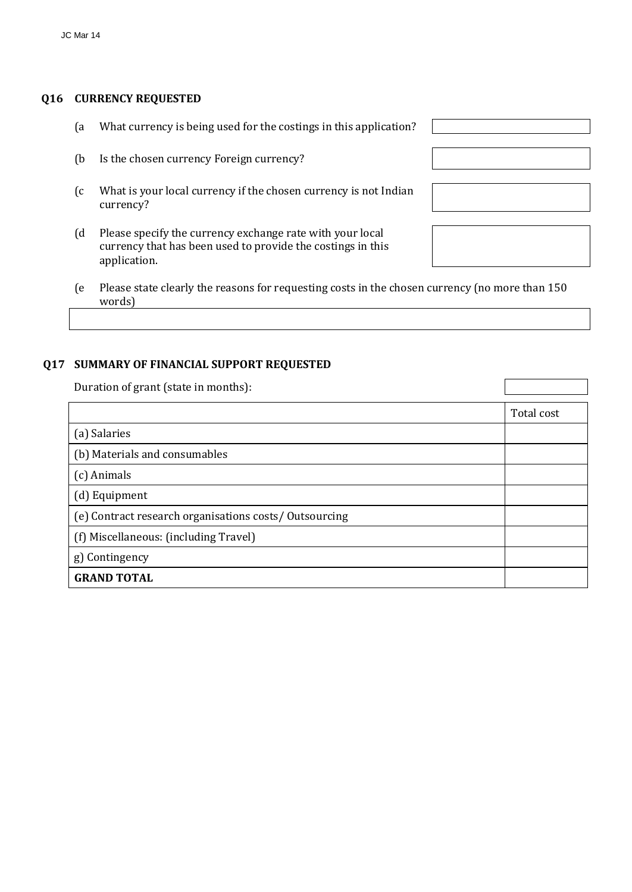## **Q16 CURRENCY REQUESTED**

- (a What currency is being used for the costings in this application?
- (b Is the chosen currency Foreign currency?
- (c What is your local currency if the chosen currency is not Indian currency?
- (d Please specify the currency exchange rate with your local currency that has been used to provide the costings in this application.
- 
- (e Please state clearly the reasons for requesting costs in the chosen currency (no more than 150 words)

## **Q17 SUMMARY OF FINANCIAL SUPPORT REQUESTED**

Duration of grant (state in months):

|                                                       | Total cost |
|-------------------------------------------------------|------------|
| (a) Salaries                                          |            |
| (b) Materials and consumables                         |            |
| (c) Animals                                           |            |
| (d) Equipment                                         |            |
| (e) Contract research organisations costs/Outsourcing |            |
| (f) Miscellaneous: (including Travel)                 |            |
| g) Contingency                                        |            |
| <b>GRAND TOTAL</b>                                    |            |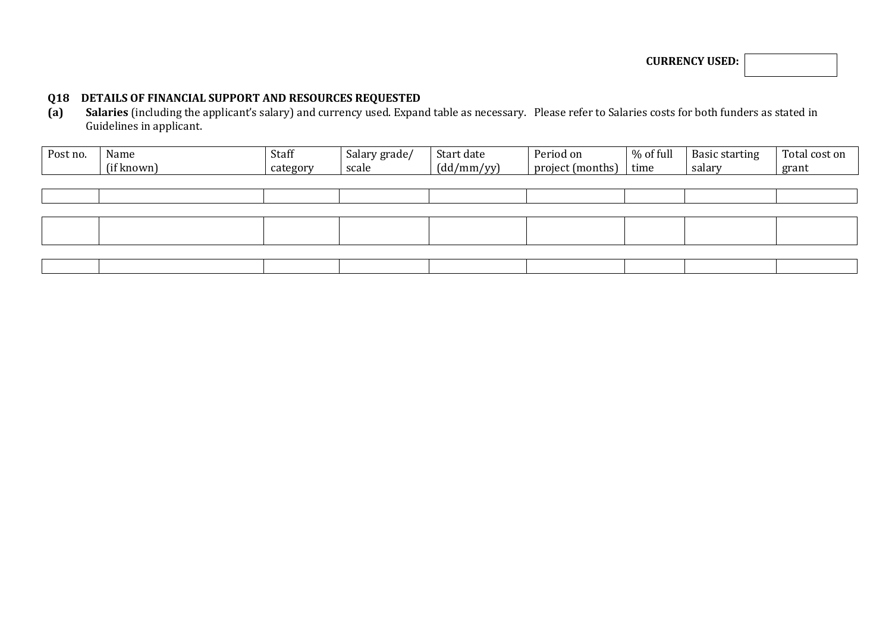**CURRENCY USED:**

## **Q18 DETAILS OF FINANCIAL SUPPORT AND RESOURCES REQUESTED**

**(a) Salaries** (including the applicant's salary) and currency used. Expand table as necessary. Please refer to Salaries costs for both funders as stated in Guidelines in applicant.

| Post no. | Name<br>(if known) | Staff<br>category | Salary grade/<br>scale | Start date<br>(dd/mm/yy) | Period on<br>project (months) | % of full<br>time | <b>Basic starting</b><br>salary | Total cost on<br>grant |
|----------|--------------------|-------------------|------------------------|--------------------------|-------------------------------|-------------------|---------------------------------|------------------------|
|          |                    |                   |                        |                          |                               |                   |                                 |                        |
|          |                    |                   |                        |                          |                               |                   |                                 |                        |
|          |                    |                   |                        |                          |                               |                   |                                 |                        |
|          |                    |                   |                        |                          |                               |                   |                                 |                        |
|          |                    |                   |                        |                          |                               |                   |                                 |                        |
|          |                    |                   |                        |                          |                               |                   |                                 |                        |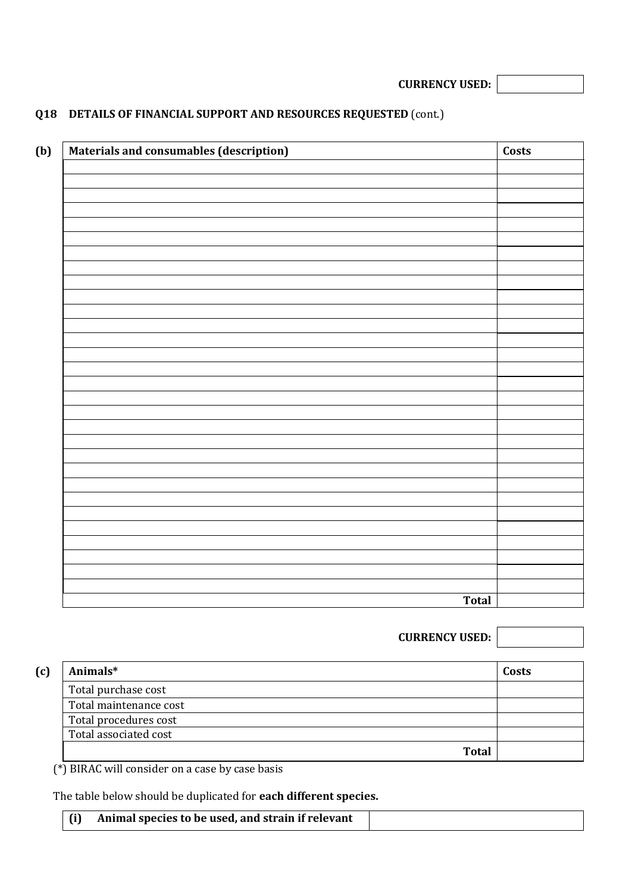**CURRENCY USED:**

# **Q18 DETAILS OF FINANCIAL SUPPORT AND RESOURCES REQUESTED** (cont.)

| <b>Materials and consumables (description)</b> |              | Costs |
|------------------------------------------------|--------------|-------|
|                                                |              |       |
|                                                |              |       |
|                                                |              |       |
|                                                |              |       |
|                                                |              |       |
|                                                |              |       |
|                                                |              |       |
|                                                |              |       |
|                                                |              |       |
|                                                |              |       |
|                                                |              |       |
|                                                |              |       |
|                                                |              |       |
|                                                |              |       |
|                                                |              |       |
|                                                |              |       |
|                                                |              |       |
|                                                |              |       |
|                                                |              |       |
|                                                |              |       |
|                                                |              |       |
|                                                |              |       |
|                                                |              |       |
|                                                |              |       |
|                                                |              |       |
|                                                |              |       |
|                                                |              |       |
|                                                |              |       |
|                                                |              |       |
|                                                |              |       |
|                                                | <b>Total</b> |       |

|                        | <b>CURRENCY USED:</b> |       |
|------------------------|-----------------------|-------|
| (c)<br>Animals*        |                       | Costs |
| Total purchase cost    |                       |       |
| Total maintenance cost |                       |       |
| Total procedures cost  |                       |       |
| Total associated cost  |                       |       |
|                        | <b>Total</b>          |       |

(\*) BIRAC will consider on a case by case basis

The table below should be duplicated for **each different species.**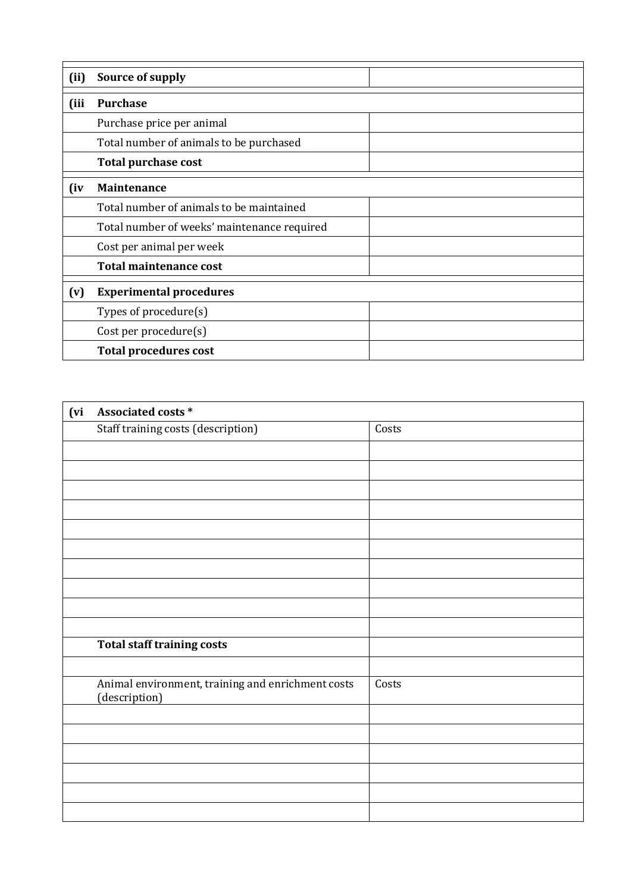| (ii)         | Source of supply                            |  |
|--------------|---------------------------------------------|--|
| (iii         | <b>Purchase</b>                             |  |
|              | Purchase price per animal                   |  |
|              | Total number of animals to be purchased     |  |
|              | <b>Total purchase cost</b>                  |  |
| $\mathbf{u}$ | Maintenance                                 |  |
|              | Total number of animals to be maintained    |  |
|              | Total number of weeks' maintenance required |  |
|              | Cost per animal per week                    |  |
|              | <b>Total maintenance cost</b>               |  |
| (v)          | <b>Experimental procedures</b>              |  |
|              | Types of $procedure(s)$                     |  |
|              | Cost per procedure(s)                       |  |
|              | <b>Total procedures cost</b>                |  |

| (vi | Associated costs *                                                 |       |  |  |  |  |  |  |
|-----|--------------------------------------------------------------------|-------|--|--|--|--|--|--|
|     | <b>Staff training costs (description)</b>                          | Costs |  |  |  |  |  |  |
|     |                                                                    |       |  |  |  |  |  |  |
|     |                                                                    |       |  |  |  |  |  |  |
|     |                                                                    |       |  |  |  |  |  |  |
|     |                                                                    |       |  |  |  |  |  |  |
|     |                                                                    |       |  |  |  |  |  |  |
|     |                                                                    |       |  |  |  |  |  |  |
|     |                                                                    |       |  |  |  |  |  |  |
|     |                                                                    |       |  |  |  |  |  |  |
|     |                                                                    |       |  |  |  |  |  |  |
|     |                                                                    |       |  |  |  |  |  |  |
|     | <b>Total staff training costs</b>                                  |       |  |  |  |  |  |  |
|     |                                                                    |       |  |  |  |  |  |  |
|     | Animal environment, training and enrichment costs<br>(description) | Costs |  |  |  |  |  |  |
|     |                                                                    |       |  |  |  |  |  |  |
|     |                                                                    |       |  |  |  |  |  |  |
|     |                                                                    |       |  |  |  |  |  |  |
|     |                                                                    |       |  |  |  |  |  |  |
|     |                                                                    |       |  |  |  |  |  |  |
|     |                                                                    |       |  |  |  |  |  |  |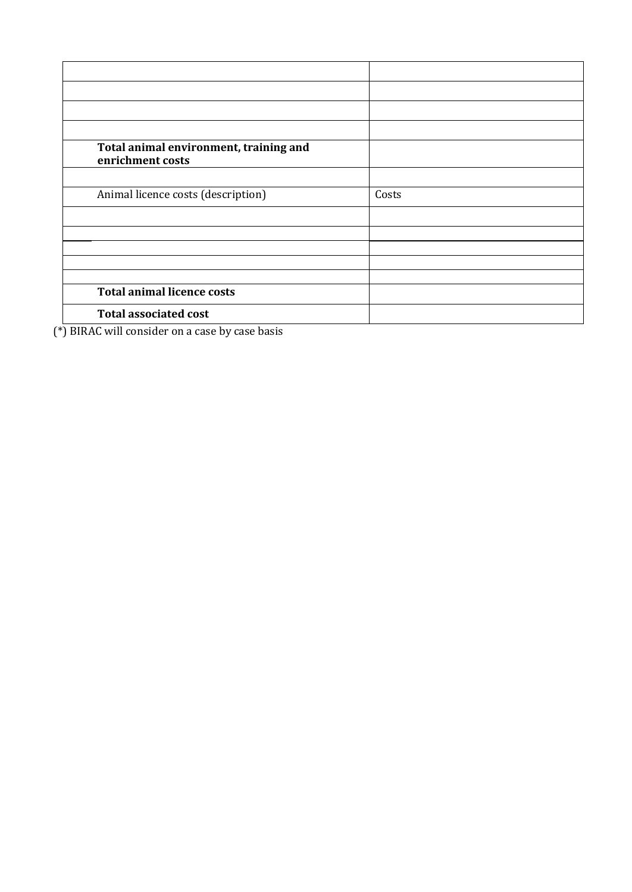| Total animal environment, training and<br>enrichment costs |       |
|------------------------------------------------------------|-------|
|                                                            |       |
| Animal licence costs (description)                         | Costs |
|                                                            |       |
|                                                            |       |
|                                                            |       |
|                                                            |       |
|                                                            |       |
| <b>Total animal licence costs</b>                          |       |
| <b>Total associated cost</b>                               |       |

(\*) BIRAC will consider on a case by case basis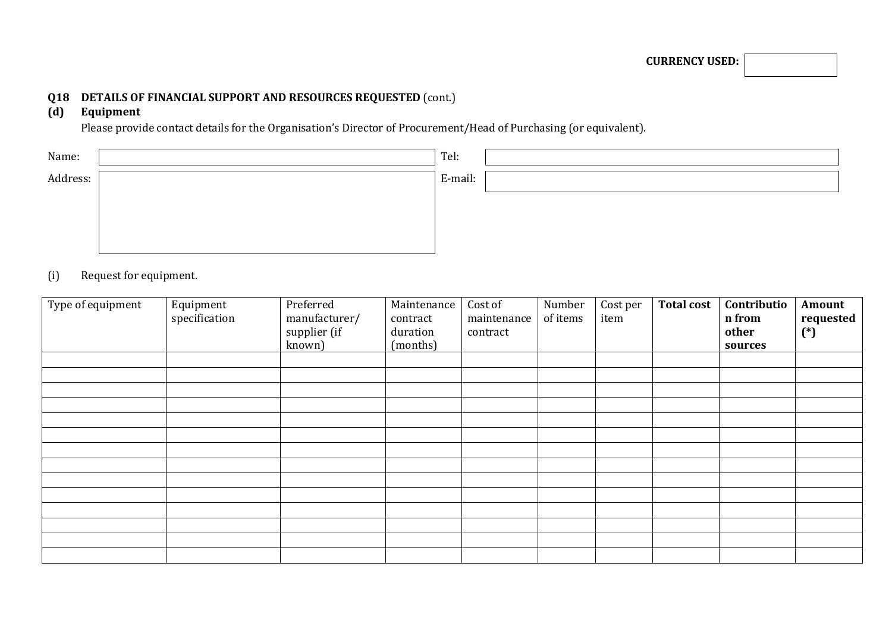# **Q18 DETAILS OF FINANCIAL SUPPORT AND RESOURCES REQUESTED** (cont.)

## **(d) Equipment**

Please provide contact details for the Organisation's Director of Procurement/Head of Purchasing (or equivalent).

| Name:    | Tel:    |  |
|----------|---------|--|
| Address: | E-mail: |  |
|          |         |  |
|          |         |  |
|          |         |  |

## (i) Request for equipment.

| $\sqrt{\text{Type of equipment}}$ | Equipment<br>specification | Preferred<br>manufacturer/<br>supplier (if<br>known) | Maintenance<br>contract<br>duration<br>(months) | Cost of<br>maintenance<br>contract | Number<br>of items | Cost per<br>item | <b>Total cost</b> | Contributio<br>n from<br>other<br>sources | Amount<br>requested<br>$(*)$ |
|-----------------------------------|----------------------------|------------------------------------------------------|-------------------------------------------------|------------------------------------|--------------------|------------------|-------------------|-------------------------------------------|------------------------------|
|                                   |                            |                                                      |                                                 |                                    |                    |                  |                   |                                           |                              |
|                                   |                            |                                                      |                                                 |                                    |                    |                  |                   |                                           |                              |
|                                   |                            |                                                      |                                                 |                                    |                    |                  |                   |                                           |                              |
|                                   |                            |                                                      |                                                 |                                    |                    |                  |                   |                                           |                              |
|                                   |                            |                                                      |                                                 |                                    |                    |                  |                   |                                           |                              |
|                                   |                            |                                                      |                                                 |                                    |                    |                  |                   |                                           |                              |
|                                   |                            |                                                      |                                                 |                                    |                    |                  |                   |                                           |                              |
|                                   |                            |                                                      |                                                 |                                    |                    |                  |                   |                                           |                              |
|                                   |                            |                                                      |                                                 |                                    |                    |                  |                   |                                           |                              |
|                                   |                            |                                                      |                                                 |                                    |                    |                  |                   |                                           |                              |
|                                   |                            |                                                      |                                                 |                                    |                    |                  |                   |                                           |                              |
|                                   |                            |                                                      |                                                 |                                    |                    |                  |                   |                                           |                              |
|                                   |                            |                                                      |                                                 |                                    |                    |                  |                   |                                           |                              |
|                                   |                            |                                                      |                                                 |                                    |                    |                  |                   |                                           |                              |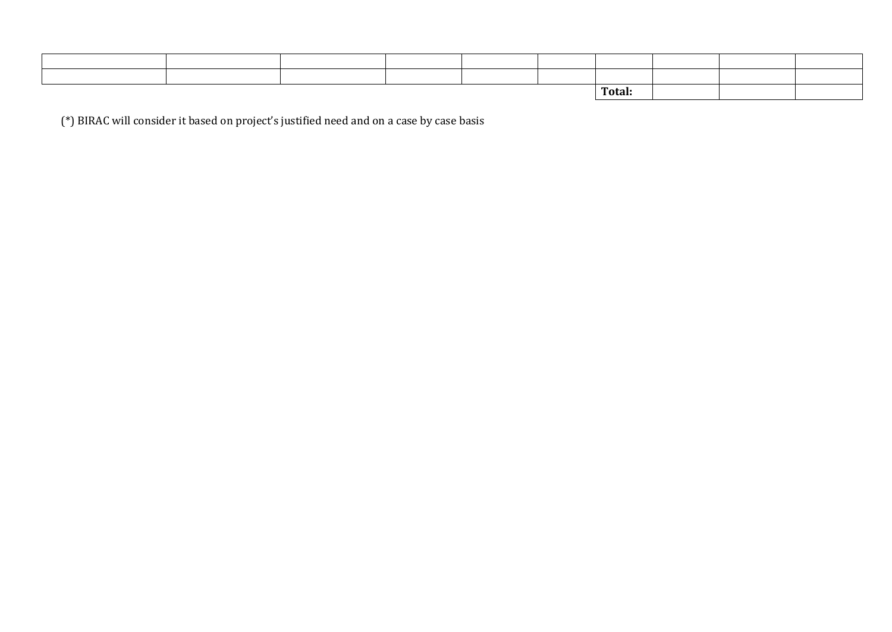|  |  |  |  |  |  | Total: |  |  |
|--|--|--|--|--|--|--------|--|--|

(\*) BIRAC will consider it based on project's justified need and on a case by case basis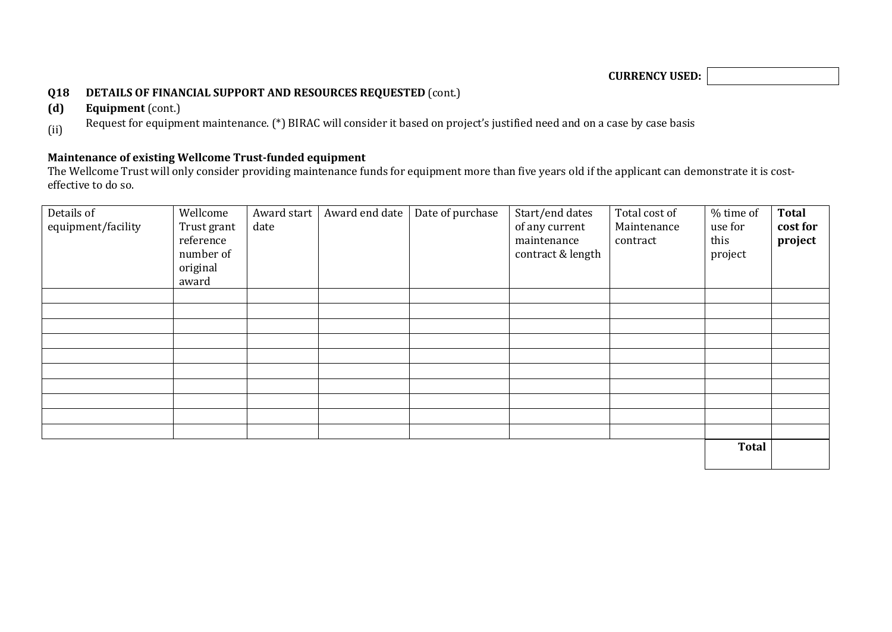**CURRENCY USED:**

## **Q18 DETAILS OF FINANCIAL SUPPORT AND RESOURCES REQUESTED** (cont.)

**(d) Equipment** (cont.)

Request for equipment maintenance. (\*) BIRAC will consider it based on project's justified need and on a case by case basis (ii)

## **Maintenance of existing Wellcome Trust-funded equipment**

The Wellcome Trust will only consider providing maintenance funds for equipment more than five years old if the applicant can demonstrate it is costeffective to do so.

| Details of<br>equipment/facility | Wellcome<br>Trust grant<br>reference<br>number of<br>original<br>award | Award start<br>date | Award end date | Date of purchase | Start/end dates<br>of any current<br>maintenance<br>contract & length | Total cost of<br>Maintenance<br>contract | % time of<br>use for<br>this<br>project | Total<br>cost for<br>project |
|----------------------------------|------------------------------------------------------------------------|---------------------|----------------|------------------|-----------------------------------------------------------------------|------------------------------------------|-----------------------------------------|------------------------------|
|                                  |                                                                        |                     |                |                  |                                                                       |                                          |                                         |                              |
|                                  |                                                                        |                     |                |                  |                                                                       |                                          |                                         |                              |
|                                  |                                                                        |                     |                |                  |                                                                       |                                          |                                         |                              |
|                                  |                                                                        |                     |                |                  |                                                                       |                                          |                                         |                              |
|                                  |                                                                        |                     |                |                  |                                                                       |                                          |                                         |                              |
|                                  |                                                                        |                     |                |                  |                                                                       |                                          |                                         |                              |
|                                  |                                                                        |                     |                |                  |                                                                       |                                          |                                         |                              |
|                                  |                                                                        |                     |                |                  |                                                                       |                                          |                                         |                              |
|                                  |                                                                        |                     |                |                  |                                                                       |                                          |                                         |                              |
|                                  |                                                                        |                     |                |                  |                                                                       |                                          |                                         |                              |
|                                  |                                                                        |                     |                |                  |                                                                       |                                          | <b>Total</b>                            |                              |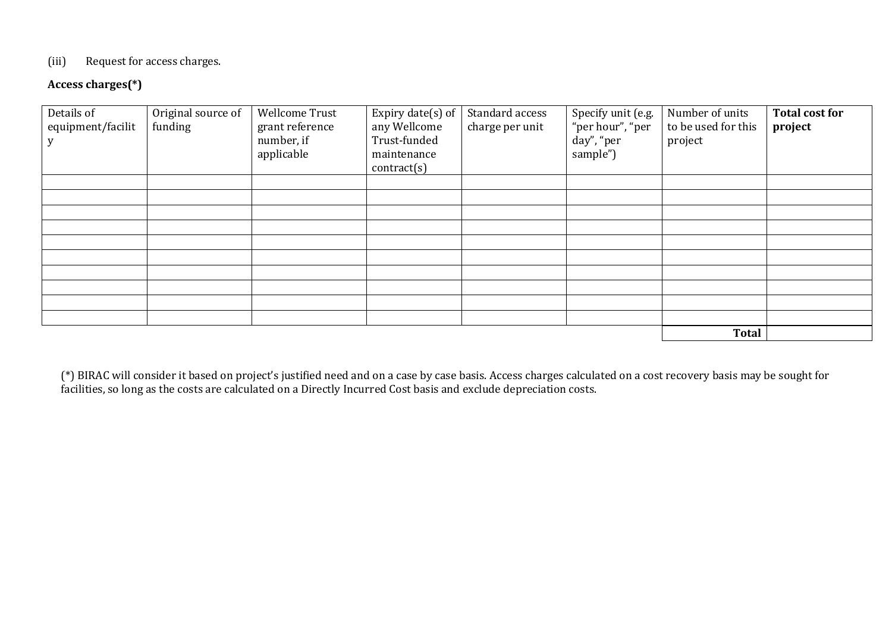## (iii) Request for access charges.

## **Access charges(\*)**

| Details of<br>equipment/facilit | Original source of<br>funding | Wellcome Trust<br>grant reference<br>number, if<br>applicable | Expiry date(s) of<br>any Wellcome<br>Trust-funded<br>maintenance<br>contract(s) | Standard access<br>charge per unit | Specify unit (e.g.<br>"per hour", "per<br>day", "per<br>sample") | Number of units<br>to be used for this<br>project | <b>Total cost for</b><br>project |
|---------------------------------|-------------------------------|---------------------------------------------------------------|---------------------------------------------------------------------------------|------------------------------------|------------------------------------------------------------------|---------------------------------------------------|----------------------------------|
|                                 |                               |                                                               |                                                                                 |                                    |                                                                  |                                                   |                                  |
|                                 |                               |                                                               |                                                                                 |                                    |                                                                  |                                                   |                                  |
|                                 |                               |                                                               |                                                                                 |                                    |                                                                  |                                                   |                                  |
|                                 |                               |                                                               |                                                                                 |                                    |                                                                  |                                                   |                                  |
|                                 |                               |                                                               |                                                                                 |                                    |                                                                  |                                                   |                                  |
|                                 |                               |                                                               |                                                                                 |                                    |                                                                  |                                                   |                                  |
|                                 |                               |                                                               |                                                                                 |                                    |                                                                  |                                                   |                                  |
|                                 |                               |                                                               |                                                                                 |                                    |                                                                  |                                                   |                                  |
|                                 |                               |                                                               |                                                                                 |                                    |                                                                  |                                                   |                                  |
|                                 |                               |                                                               |                                                                                 |                                    |                                                                  |                                                   |                                  |
|                                 |                               |                                                               |                                                                                 |                                    |                                                                  | <b>Total</b>                                      |                                  |

(\*) BIRAC will consider it based on project's justified need and on a case by case basis. Access charges calculated on a cost recovery basis may be sought for facilities, so long as the costs are calculated on a Directly Incurred Cost basis and exclude depreciation costs.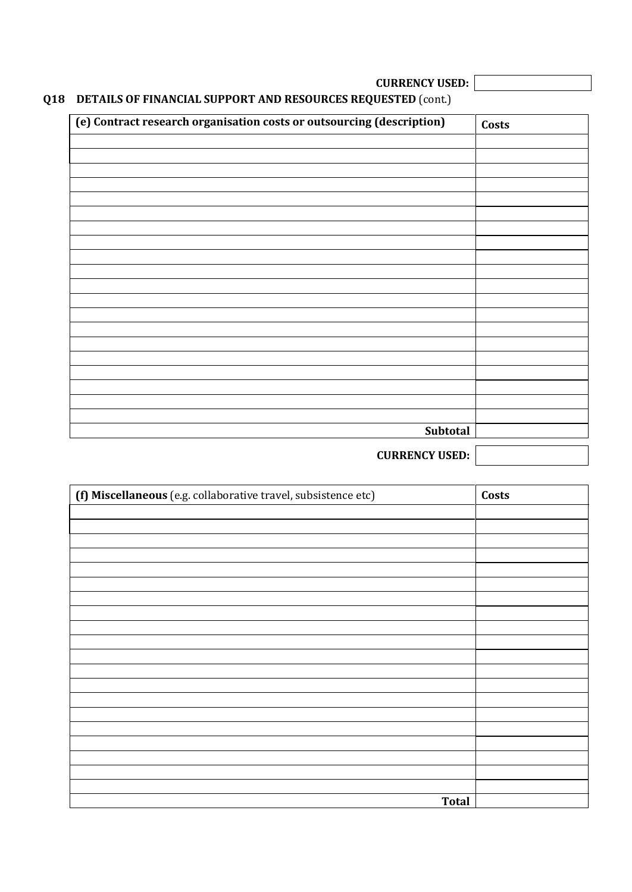**CURRENCY USED:**

# **Q18 DETAILS OF FINANCIAL SUPPORT AND RESOURCES REQUESTED** (cont.)

| (e) Contract research organisation costs or outsourcing (description) | Costs |
|-----------------------------------------------------------------------|-------|
|                                                                       |       |
|                                                                       |       |
|                                                                       |       |
|                                                                       |       |
|                                                                       |       |
|                                                                       |       |
|                                                                       |       |
|                                                                       |       |
|                                                                       |       |
|                                                                       |       |
|                                                                       |       |
|                                                                       |       |
|                                                                       |       |
|                                                                       |       |
|                                                                       |       |
|                                                                       |       |
|                                                                       |       |
|                                                                       |       |
| Subtotal                                                              |       |

**CURRENCY USED:**

| (f) Miscellaneous (e.g. collaborative travel, subsistence etc) | Costs |
|----------------------------------------------------------------|-------|
|                                                                |       |
|                                                                |       |
|                                                                |       |
|                                                                |       |
|                                                                |       |
|                                                                |       |
|                                                                |       |
|                                                                |       |
|                                                                |       |
|                                                                |       |
|                                                                |       |
|                                                                |       |
|                                                                |       |
|                                                                |       |
|                                                                |       |
|                                                                |       |
|                                                                |       |
|                                                                |       |
|                                                                |       |
|                                                                |       |
| <b>Total</b>                                                   |       |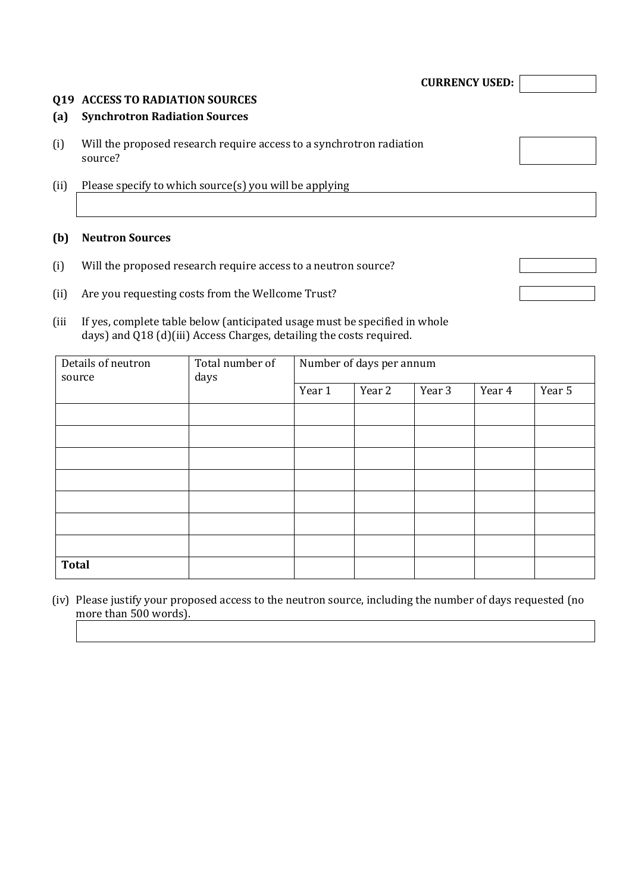#### **Q19 ACCESS TO RADIATION SOURCES**

#### **(a) Synchrotron Radiation Sources**

- (i) Will the proposed research require access to a synchrotron radiation source?
- (ii) Please specify to which source(s) you will be applying

## **(b) Neutron Sources**

- (i) Will the proposed research require access to a neutron source?
- (ii) Are you requesting costs from the Wellcome Trust?
- (iii If yes, complete table below (anticipated usage must be specified in whole days) and Q18 (d)(iii) Access Charges, detailing the costs required.

| Details of neutron<br>source | Total number of<br>days |        | Number of days per annum |        |        |        |
|------------------------------|-------------------------|--------|--------------------------|--------|--------|--------|
|                              |                         | Year 1 | Year 2                   | Year 3 | Year 4 | Year 5 |
|                              |                         |        |                          |        |        |        |
|                              |                         |        |                          |        |        |        |
|                              |                         |        |                          |        |        |        |
|                              |                         |        |                          |        |        |        |
|                              |                         |        |                          |        |        |        |
|                              |                         |        |                          |        |        |        |
|                              |                         |        |                          |        |        |        |
| <b>Total</b>                 |                         |        |                          |        |        |        |

(iv) Please justify your proposed access to the neutron source, including the number of days requested (no more than 500 words).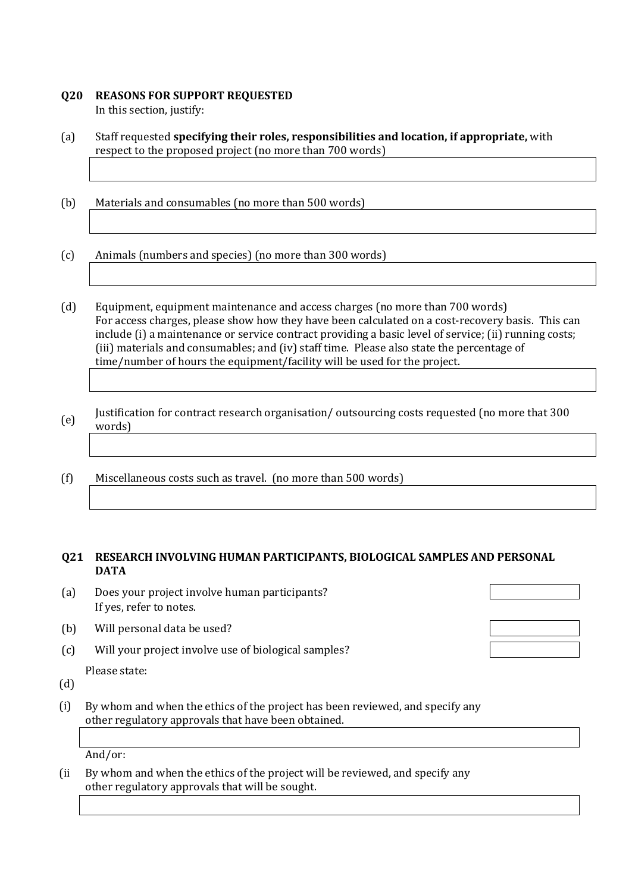## **Q20 REASONS FOR SUPPORT REQUESTED**

In this section, justify:

- (a) Staff requested **specifying their roles, responsibilities and location, if appropriate,** with respect to the proposed project (no more than 700 words)
- (b) Materials and consumables (no more than 500 words)
- (c) Animals (numbers and species) (no more than 300 words)
- (d) Equipment, equipment maintenance and access charges (no more than 700 words) For access charges, please show how they have been calculated on a cost-recovery basis. This can include (i) a maintenance or service contract providing a basic level of service; (ii) running costs; (iii) materials and consumables; and (iv) staff time. Please also state the percentage of time/number of hours the equipment/facility will be used for the project.
- (e) Justification for contract research organisation/ outsourcing costs requested (no more that 300 words)
- (f) Miscellaneous costs such as travel. (no more than 500 words)

#### **Q21 RESEARCH INVOLVING HUMAN PARTICIPANTS, BIOLOGICAL SAMPLES AND PERSONAL DATA**

- (a) Does your project involve human participants? If yes, refer to notes.
- (b) Will personal data be used?
- (c) Will your project involve use of biological samples?

Please state:

(d)

(i) By whom and when the ethics of the project has been reviewed, and specify any other regulatory approvals that have been obtained.

And/or:

(ii By whom and when the ethics of the project will be reviewed, and specify any other regulatory approvals that will be sought.

| the contract of the contract of the contract of the contract of the contract of the contract of the contract of |  |  |
|-----------------------------------------------------------------------------------------------------------------|--|--|
| the contract of the contract of the contract of the contract of the contract of the contract of the contract of |  |  |
|                                                                                                                 |  |  |
|                                                                                                                 |  |  |
|                                                                                                                 |  |  |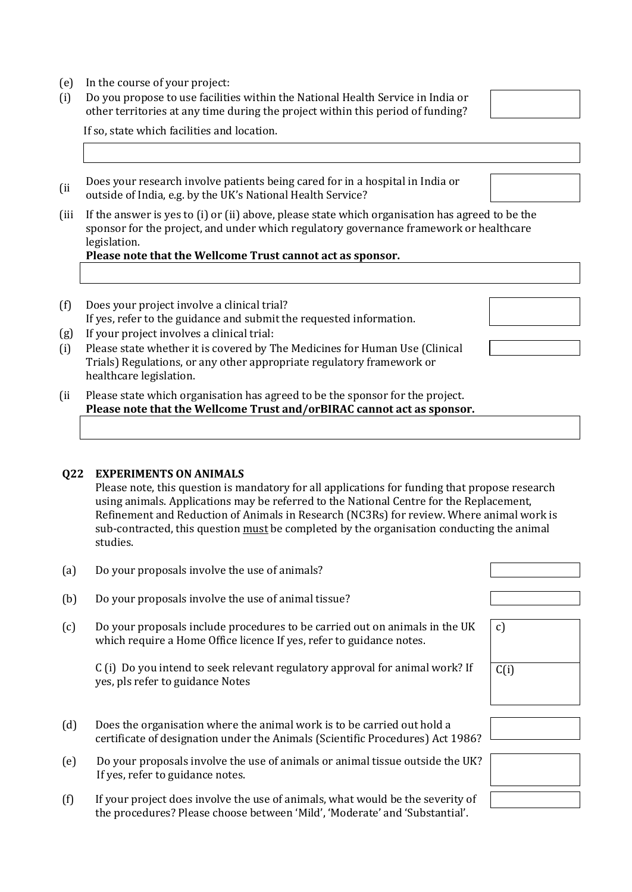- (e) In the course of your project:
- (i) Do you propose to use facilities within the National Health Service in India or other territories at any time during the project within this period of funding?

If so, state which facilities and location.

(ii Does your research involve patients being cared for in a hospital in India or outside of India, e.g. by the UK's National Health Service?

(iii If the answer is yes to (i) or (ii) above, please state which organisation has agreed to be the sponsor for the project, and under which regulatory governance framework or healthcare legislation.

## **Please note that the Wellcome Trust cannot act as sponsor.**

- (f) Does your project involve a clinical trial? If yes, refer to the guidance and submit the requested information.
- (g) If your project involves a clinical trial:
- (i) Please state whether it is covered by The Medicines for Human Use (Clinical Trials) Regulations, or any other appropriate regulatory framework or healthcare legislation.
- (ii Please state which organisation has agreed to be the sponsor for the project. **Please note that the Wellcome Trust and/orBIRAC cannot act as sponsor.**

## **Q22 EXPERIMENTS ON ANIMALS**

Please note, this question is mandatory for all applications for funding that propose research using animals. Applications may be referred to the National Centre for the Replacement, Refinement and Reduction of Animals in Research (NC3Rs) for review. Where animal work is sub-contracted, this question must be completed by the organisation conducting the animal studies.

| (a) | Do your proposals involve the use of animals?                                                                                                             |               |
|-----|-----------------------------------------------------------------------------------------------------------------------------------------------------------|---------------|
| (b) | Do your proposals involve the use of animal tissue?                                                                                                       |               |
| (c) | Do your proposals include procedures to be carried out on animals in the UK<br>which require a Home Office licence If yes, refer to guidance notes.       | $\mathcal{C}$ |
|     | C (i) Do you intend to seek relevant regulatory approval for animal work? If<br>yes, pls refer to guidance Notes                                          | C(i)          |
|     |                                                                                                                                                           |               |
| (d) | Does the organisation where the animal work is to be carried out hold a<br>certificate of designation under the Animals (Scientific Procedures) Act 1986? |               |
| (e) | Do your proposals involve the use of animals or animal tissue outside the UK?<br>If yes, refer to guidance notes.                                         |               |

(f) If your project does involve the use of animals, what would be the severity of the procedures? Please choose between 'Mild', 'Moderate' and 'Substantial'.



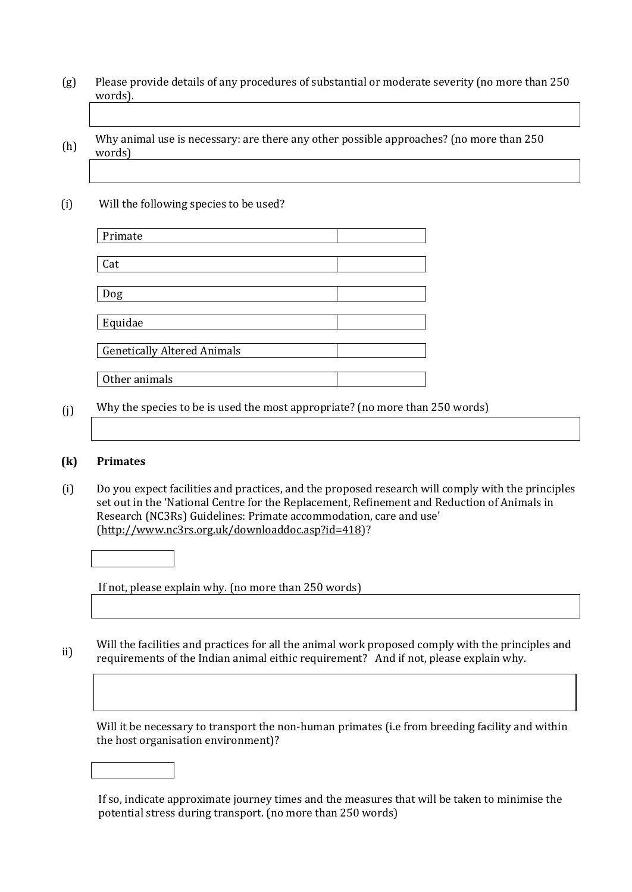- (g) Please provide details of any procedures of substantial or moderate severity (no more than 250 words).
- (h) Why animal use is necessary: are there any other possible approaches? (no more than 250 words)
- (i) Will the following species to be used?

| Primate                            |  |
|------------------------------------|--|
|                                    |  |
| Cat                                |  |
|                                    |  |
| Dog                                |  |
|                                    |  |
| Equidae                            |  |
|                                    |  |
| <b>Genetically Altered Animals</b> |  |
|                                    |  |
| Other animals                      |  |

(j) Why the species to be is used the most appropriate? (no more than 250 words)

## **(k) Primates**

(i) Do you expect facilities and practices, and the proposed research will comply with the principles set out in the 'National Centre for the Replacement, Refinement and Reduction of Animals in Research (NC3Rs) Guidelines: Primate accommodation, care and use' [\(http://www.nc3rs.org.uk/downloaddoc.asp?id=418\)](http://www.nc3rs.org.uk/downloaddoc.asp?id=418)?

If not, please explain why. (no more than 250 words)

ii) Will the facilities and practices for all the animal work proposed comply with the principles and requirements of the Indian animal eithic requirement? And if not, please explain why.

Will it be necessary to transport the non-human primates (i.e from breeding facility and within the host organisation environment)?

If so, indicate approximate journey times and the measures that will be taken to minimise the potential stress during transport. (no more than 250 words)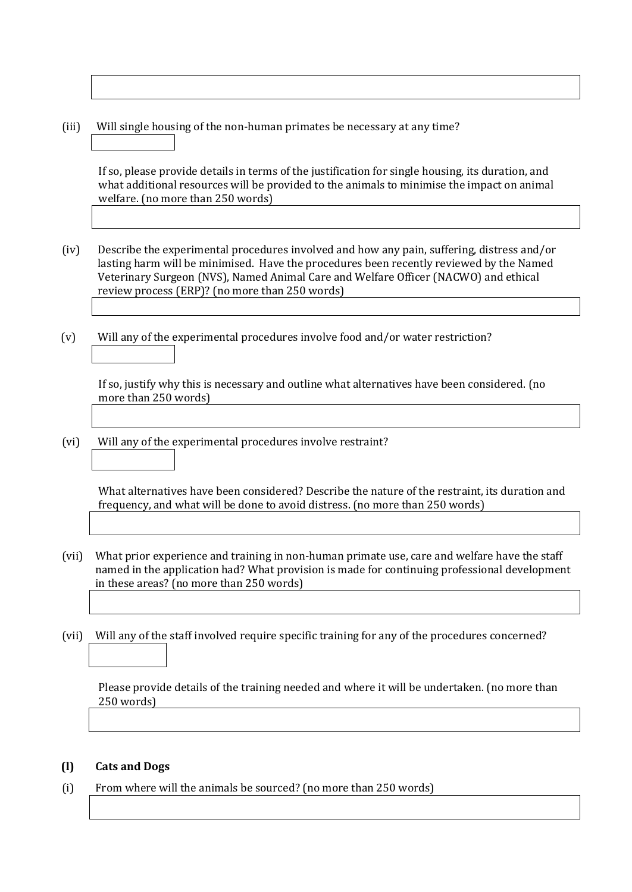(iii) Will single housing of the non-human primates be necessary at any time?

If so, please provide details in terms of the justification for single housing, its duration, and what additional resources will be provided to the animals to minimise the impact on animal welfare. (no more than 250 words)

- (iv) Describe the experimental procedures involved and how any pain, suffering, distress and/or lasting harm will be minimised. Have the procedures been recently reviewed by the Named Veterinary Surgeon (NVS), Named Animal Care and Welfare Officer (NACWO) and ethical review process (ERP)? (no more than 250 words)
- (v) Will any of the experimental procedures involve food and/or water restriction?

If so, justify why this is necessary and outline what alternatives have been considered. (no more than 250 words)

(vi) Will any of the experimental procedures involve restraint?

What alternatives have been considered? Describe the nature of the restraint, its duration and frequency, and what will be done to avoid distress. (no more than 250 words)

- (vii) What prior experience and training in non-human primate use, care and welfare have the staff named in the application had? What provision is made for continuing professional development in these areas? (no more than 250 words)
- (vii) Will any of the staff involved require specific training for any of the procedures concerned?

Please provide details of the training needed and where it will be undertaken. (no more than 250 words)

### **(l) Cats and Dogs**

(i) From where will the animals be sourced? (no more than 250 words)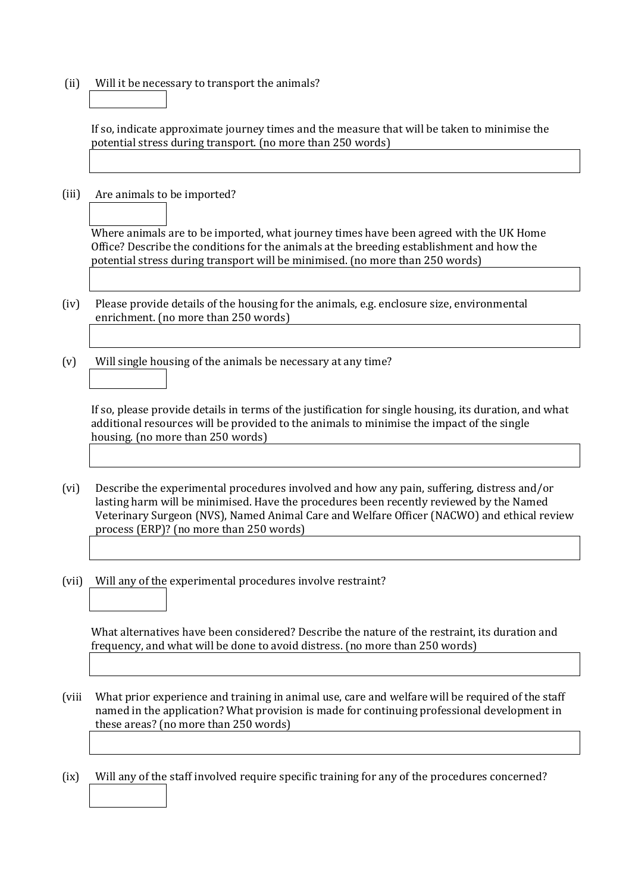(ii) Will it be necessary to transport the animals?

If so, indicate approximate journey times and the measure that will be taken to minimise the potential stress during transport. (no more than 250 words)

(iii) Are animals to be imported?

Where animals are to be imported, what journey times have been agreed with the UK Home Office? Describe the conditions for the animals at the breeding establishment and how the potential stress during transport will be minimised. (no more than 250 words)

- (iv) Please provide details of the housing for the animals, e.g. enclosure size, environmental enrichment. (no more than 250 words)
- (v) Will single housing of the animals be necessary at any time?

If so, please provide details in terms of the justification for single housing, its duration, and what additional resources will be provided to the animals to minimise the impact of the single housing. (no more than 250 words)

- (vi) Describe the experimental procedures involved and how any pain, suffering, distress and/or lasting harm will be minimised. Have the procedures been recently reviewed by the Named Veterinary Surgeon (NVS), Named Animal Care and Welfare Officer (NACWO) and ethical review process (ERP)? (no more than 250 words)
- (vii) Will any of the experimental procedures involve restraint?

What alternatives have been considered? Describe the nature of the restraint, its duration and frequency, and what will be done to avoid distress. (no more than 250 words)

- (viii What prior experience and training in animal use, care and welfare will be required of the staff named in the application? What provision is made for continuing professional development in these areas? (no more than 250 words)
- (ix) Will any of the staff involved require specific training for any of the procedures concerned?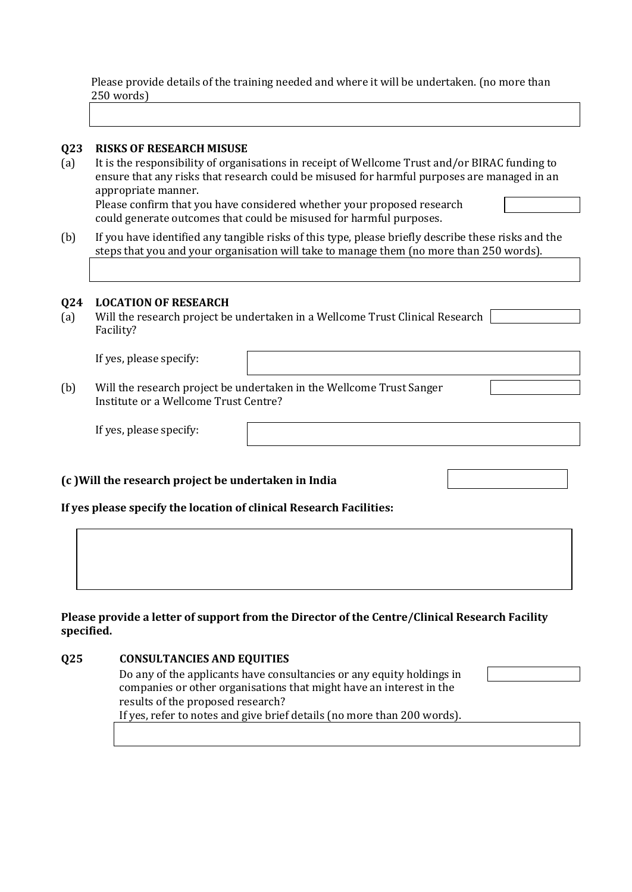Please provide details of the training needed and where it will be undertaken. (no more than 250 words)

#### **Q23 RISKS OF RESEARCH MISUSE**

- (a) It is the responsibility of organisations in receipt of Wellcome Trust and/or BIRAC funding to ensure that any risks that research could be misused for harmful purposes are managed in an appropriate manner. Please confirm that you have considered whether your proposed research could generate outcomes that could be misused for harmful purposes.
- (b) If you have identified any tangible risks of this type, please briefly describe these risks and the steps that you and your organisation will take to manage them (no more than 250 words).

#### **Q24 LOCATION OF RESEARCH**

(a) Will the research project be undertaken in a Wellcome Trust Clinical Research Facility?

If yes, please specify:

(b) Will the research project be undertaken in the Wellcome Trust Sanger Institute or a Wellcome Trust Centre?

If yes, please specify:

#### **(c )Will the research project be undertaken in India**

**If yes please specify the location of clinical Research Facilities:** 

### **Please provide a letter of support from the Director of the Centre/Clinical Research Facility specified.**

## **Q25 CONSULTANCIES AND EQUITIES**

Do any of the applicants have consultancies or any equity holdings in companies or other organisations that might have an interest in the results of the proposed research?

If yes, refer to notes and give brief details (no more than 200 words).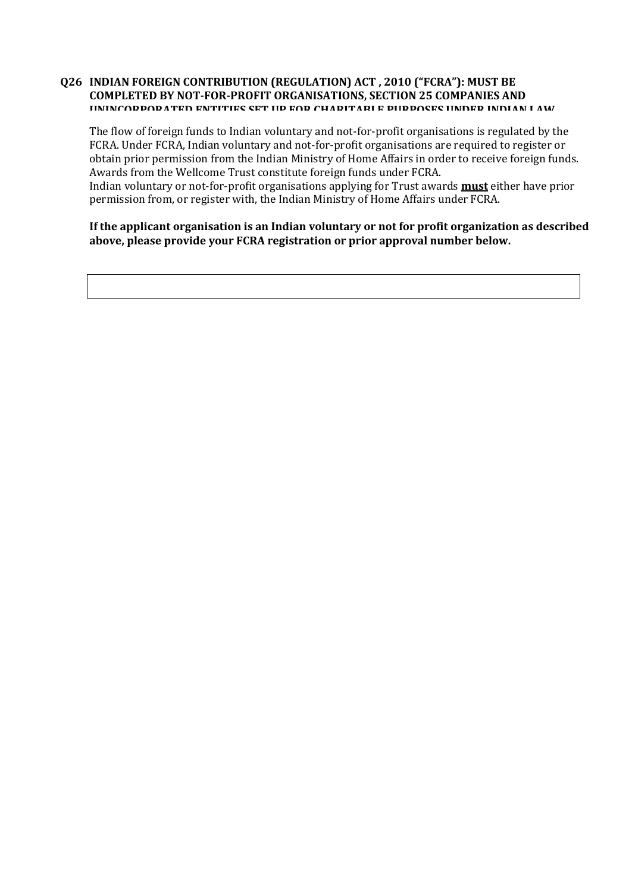#### **Q26 INDIAN FOREIGN CONTRIBUTION (REGULATION) ACT , 2010 ("FCRA"): MUST BE COMPLETED BY NOT-FOR-PROFIT ORGANISATIONS, SECTION 25 COMPANIES AND IININCODDOD ATED ENTITIES SET UP FOR CHAPITARI E DUPDOSES UNDER INDIAN LAW**

The flow of foreign funds to Indian voluntary and not-for-profit organisations is regulated by the FCRA. Under FCRA, Indian voluntary and not-for-profit organisations are required to register or obtain prior permission from the Indian Ministry of Home Affairs in order to receive foreign funds. Awards from the Wellcome Trust constitute foreign funds under FCRA. Indian voluntary or not-for-profit organisations applying for Trust awards **must** either have prior permission from, or register with, the Indian Ministry of Home Affairs under FCRA.

## **If the applicant organisation is an Indian voluntary or not for profit organization as described above, please provide your FCRA registration or prior approval number below.**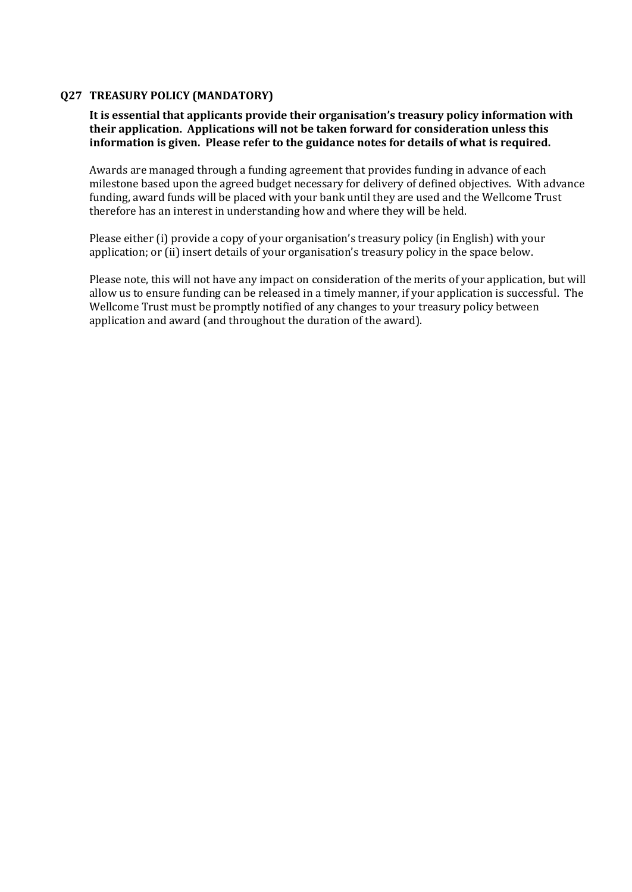## **Q27 TREASURY POLICY (MANDATORY)**

## **It is essential that applicants provide their organisation's treasury policy information with their application. Applications will not be taken forward for consideration unless this information is given. Please refer to the guidance notes for details of what is required.**

Awards are managed through a funding agreement that provides funding in advance of each milestone based upon the agreed budget necessary for delivery of defined objectives. With advance funding, award funds will be placed with your bank until they are used and the Wellcome Trust therefore has an interest in understanding how and where they will be held.

Please either (i) provide a copy of your organisation's treasury policy (in English) with your application; or (ii) insert details of your organisation's treasury policy in the space below.

Please note, this will not have any impact on consideration of the merits of your application, but will allow us to ensure funding can be released in a timely manner, if your application is successful. The Wellcome Trust must be promptly notified of any changes to your treasury policy between application and award (and throughout the duration of the award).